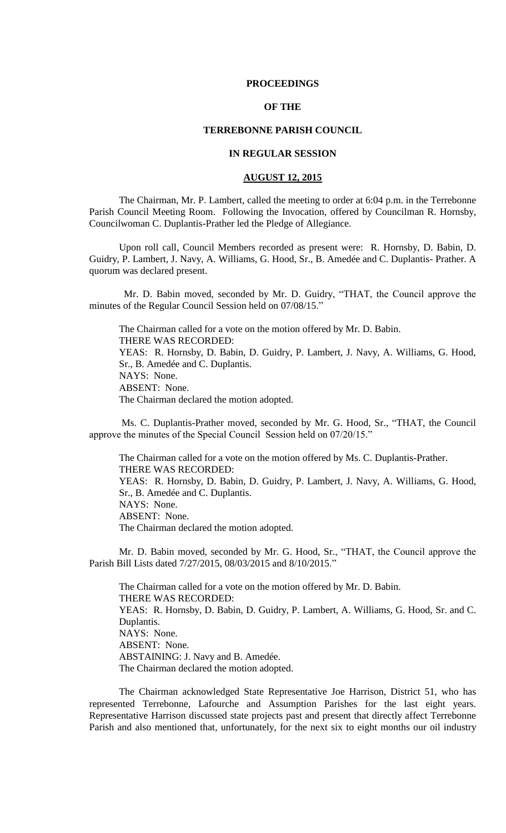### **PROCEEDINGS**

## **OF THE**

### **TERREBONNE PARISH COUNCIL**

## **IN REGULAR SESSION**

## **AUGUST 12, 2015**

The Chairman, Mr. P. Lambert, called the meeting to order at 6:04 p.m. in the Terrebonne Parish Council Meeting Room. Following the Invocation, offered by Councilman R. Hornsby, Councilwoman C. Duplantis-Prather led the Pledge of Allegiance.

Upon roll call, Council Members recorded as present were: R. Hornsby, D. Babin, D. Guidry, P. Lambert, J. Navy, A. Williams, G. Hood, Sr., B. Amedée and C. Duplantis- Prather. A quorum was declared present.

 Mr. D. Babin moved, seconded by Mr. D. Guidry, "THAT, the Council approve the minutes of the Regular Council Session held on 07/08/15."

The Chairman called for a vote on the motion offered by Mr. D. Babin. THERE WAS RECORDED: YEAS: R. Hornsby, D. Babin, D. Guidry, P. Lambert, J. Navy, A. Williams, G. Hood, Sr., B. Amedée and C. Duplantis. NAYS: None. ABSENT: None. The Chairman declared the motion adopted.

Ms. C. Duplantis-Prather moved, seconded by Mr. G. Hood, Sr., "THAT, the Council approve the minutes of the Special Council Session held on 07/20/15."

The Chairman called for a vote on the motion offered by Ms. C. Duplantis-Prather. THERE WAS RECORDED: YEAS: R. Hornsby, D. Babin, D. Guidry, P. Lambert, J. Navy, A. Williams, G. Hood, Sr., B. Amedée and C. Duplantis. NAYS: None. ABSENT: None. The Chairman declared the motion adopted.

Mr. D. Babin moved, seconded by Mr. G. Hood, Sr., "THAT, the Council approve the Parish Bill Lists dated 7/27/2015, 08/03/2015 and 8/10/2015."

The Chairman called for a vote on the motion offered by Mr. D. Babin. THERE WAS RECORDED: YEAS: R. Hornsby, D. Babin, D. Guidry, P. Lambert, A. Williams, G. Hood, Sr. and C. Duplantis. NAYS: None. ABSENT: None. ABSTAINING: J. Navy and B. Amedée. The Chairman declared the motion adopted.

The Chairman acknowledged State Representative Joe Harrison, District 51, who has represented Terrebonne, Lafourche and Assumption Parishes for the last eight years. Representative Harrison discussed state projects past and present that directly affect Terrebonne Parish and also mentioned that, unfortunately, for the next six to eight months our oil industry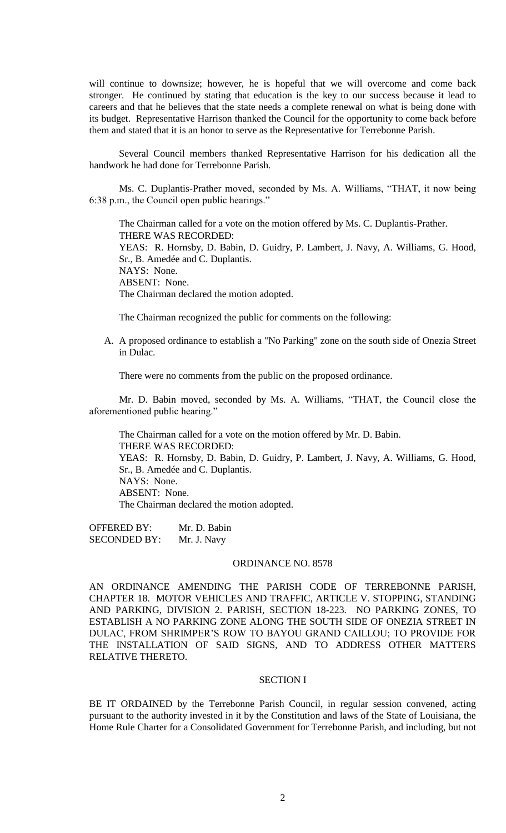will continue to downsize; however, he is hopeful that we will overcome and come back stronger. He continued by stating that education is the key to our success because it lead to careers and that he believes that the state needs a complete renewal on what is being done with its budget. Representative Harrison thanked the Council for the opportunity to come back before them and stated that it is an honor to serve as the Representative for Terrebonne Parish.

Several Council members thanked Representative Harrison for his dedication all the handwork he had done for Terrebonne Parish.

Ms. C. Duplantis-Prather moved, seconded by Ms. A. Williams, "THAT, it now being 6:38 p.m., the Council open public hearings."

The Chairman called for a vote on the motion offered by Ms. C. Duplantis-Prather. THERE WAS RECORDED: YEAS: R. Hornsby, D. Babin, D. Guidry, P. Lambert, J. Navy, A. Williams, G. Hood, Sr., B. Amedée and C. Duplantis. NAYS: None. ABSENT: None. The Chairman declared the motion adopted.

The Chairman recognized the public for comments on the following:

A. A proposed ordinance to establish a "No Parking" zone on the south side of Onezia Street in Dulac.

There were no comments from the public on the proposed ordinance.

Mr. D. Babin moved, seconded by Ms. A. Williams, "THAT, the Council close the aforementioned public hearing."

The Chairman called for a vote on the motion offered by Mr. D. Babin. THERE WAS RECORDED: YEAS: R. Hornsby, D. Babin, D. Guidry, P. Lambert, J. Navy, A. Williams, G. Hood, Sr., B. Amedée and C. Duplantis. NAYS: None. ABSENT: None. The Chairman declared the motion adopted.

OFFERED BY: Mr. D. Babin SECONDED BY: Mr. J. Navy

#### ORDINANCE NO. 8578

AN ORDINANCE AMENDING THE PARISH CODE OF TERREBONNE PARISH, CHAPTER 18. MOTOR VEHICLES AND TRAFFIC, ARTICLE V. STOPPING, STANDING AND PARKING, DIVISION 2. PARISH, SECTION 18-223. NO PARKING ZONES, TO ESTABLISH A NO PARKING ZONE ALONG THE SOUTH SIDE OF ONEZIA STREET IN DULAC, FROM SHRIMPER'S ROW TO BAYOU GRAND CAILLOU; TO PROVIDE FOR THE INSTALLATION OF SAID SIGNS, AND TO ADDRESS OTHER MATTERS RELATIVE THERETO.

### SECTION I

BE IT ORDAINED by the Terrebonne Parish Council, in regular session convened, acting pursuant to the authority invested in it by the Constitution and laws of the State of Louisiana, the Home Rule Charter for a Consolidated Government for Terrebonne Parish, and including, but not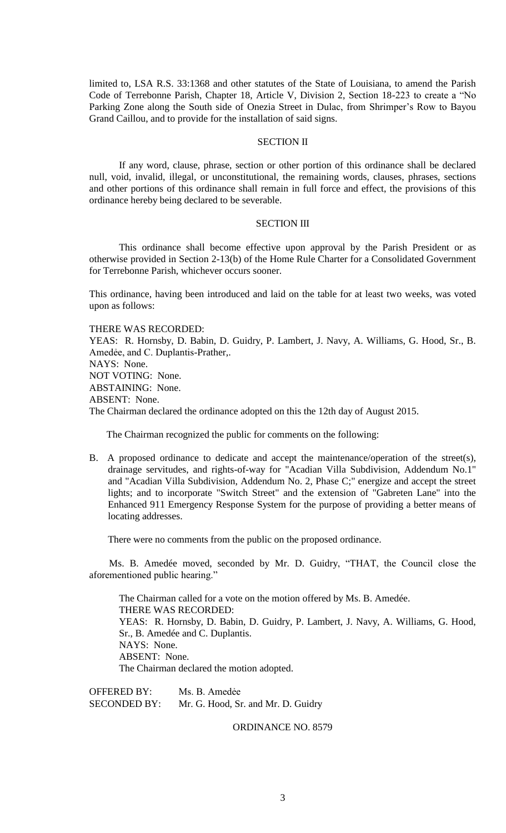limited to, LSA R.S. 33:1368 and other statutes of the State of Louisiana, to amend the Parish Code of Terrebonne Parish, Chapter 18, Article V, Division 2, Section 18-223 to create a "No Parking Zone along the South side of Onezia Street in Dulac, from Shrimper's Row to Bayou Grand Caillou, and to provide for the installation of said signs.

### SECTION II

If any word, clause, phrase, section or other portion of this ordinance shall be declared null, void, invalid, illegal, or unconstitutional, the remaining words, clauses, phrases, sections and other portions of this ordinance shall remain in full force and effect, the provisions of this ordinance hereby being declared to be severable.

## SECTION III

This ordinance shall become effective upon approval by the Parish President or as otherwise provided in Section 2-13(b) of the Home Rule Charter for a Consolidated Government for Terrebonne Parish, whichever occurs sooner.

This ordinance, having been introduced and laid on the table for at least two weeks, was voted upon as follows:

THERE WAS RECORDED:

YEAS: R. Hornsby, D. Babin, D. Guidry, P. Lambert, J. Navy, A. Williams, G. Hood, Sr., B. Amedėe, and C. Duplantis-Prather,.

NAYS: None.

NOT VOTING: None.

ABSTAINING: None.

ABSENT: None.

The Chairman declared the ordinance adopted on this the 12th day of August 2015.

The Chairman recognized the public for comments on the following:

B. A proposed ordinance to dedicate and accept the maintenance/operation of the street(s), drainage servitudes, and rights-of-way for "Acadian Villa Subdivision, Addendum No.1" and "Acadian Villa Subdivision, Addendum No. 2, Phase C;" energize and accept the street lights; and to incorporate "Switch Street" and the extension of "Gabreten Lane" into the Enhanced 911 Emergency Response System for the purpose of providing a better means of locating addresses.

There were no comments from the public on the proposed ordinance.

 Ms. B. Amedée moved, seconded by Mr. D. Guidry, "THAT, the Council close the aforementioned public hearing."

The Chairman called for a vote on the motion offered by Ms. B. Amedée. THERE WAS RECORDED: YEAS: R. Hornsby, D. Babin, D. Guidry, P. Lambert, J. Navy, A. Williams, G. Hood, Sr., B. Amedée and C. Duplantis. NAYS: None. ABSENT: None. The Chairman declared the motion adopted.

OFFERED BY: Ms. B. Amedẻe SECONDED BY: Mr. G. Hood, Sr. and Mr. D. Guidry

ORDINANCE NO. 8579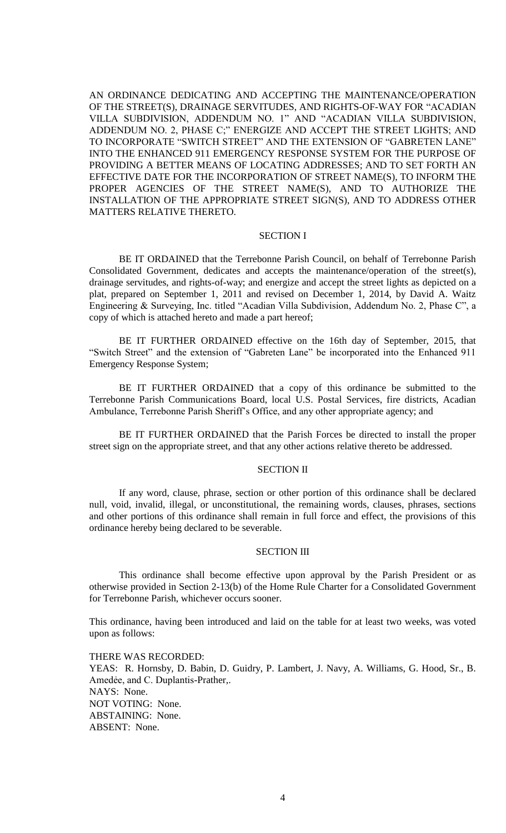AN ORDINANCE DEDICATING AND ACCEPTING THE MAINTENANCE/OPERATION OF THE STREET(S), DRAINAGE SERVITUDES, AND RIGHTS-OF-WAY FOR "ACADIAN VILLA SUBDIVISION, ADDENDUM NO. 1" AND "ACADIAN VILLA SUBDIVISION, ADDENDUM NO. 2, PHASE C;" ENERGIZE AND ACCEPT THE STREET LIGHTS; AND TO INCORPORATE "SWITCH STREET" AND THE EXTENSION OF "GABRETEN LANE" INTO THE ENHANCED 911 EMERGENCY RESPONSE SYSTEM FOR THE PURPOSE OF PROVIDING A BETTER MEANS OF LOCATING ADDRESSES; AND TO SET FORTH AN EFFECTIVE DATE FOR THE INCORPORATION OF STREET NAME(S), TO INFORM THE PROPER AGENCIES OF THE STREET NAME(S), AND TO AUTHORIZE THE INSTALLATION OF THE APPROPRIATE STREET SIGN(S), AND TO ADDRESS OTHER MATTERS RELATIVE THERETO.

#### SECTION I

BE IT ORDAINED that the Terrebonne Parish Council, on behalf of Terrebonne Parish Consolidated Government, dedicates and accepts the maintenance/operation of the street(s), drainage servitudes, and rights-of-way; and energize and accept the street lights as depicted on a plat, prepared on September 1, 2011 and revised on December 1, 2014, by David A. Waitz Engineering & Surveying, Inc. titled "Acadian Villa Subdivision, Addendum No. 2, Phase C", a copy of which is attached hereto and made a part hereof;

BE IT FURTHER ORDAINED effective on the 16th day of September, 2015, that "Switch Street" and the extension of "Gabreten Lane" be incorporated into the Enhanced 911 Emergency Response System;

BE IT FURTHER ORDAINED that a copy of this ordinance be submitted to the Terrebonne Parish Communications Board, local U.S. Postal Services, fire districts, Acadian Ambulance, Terrebonne Parish Sheriff's Office, and any other appropriate agency; and

BE IT FURTHER ORDAINED that the Parish Forces be directed to install the proper street sign on the appropriate street, and that any other actions relative thereto be addressed.

#### SECTION II

If any word, clause, phrase, section or other portion of this ordinance shall be declared null, void, invalid, illegal, or unconstitutional, the remaining words, clauses, phrases, sections and other portions of this ordinance shall remain in full force and effect, the provisions of this ordinance hereby being declared to be severable.

#### SECTION III

This ordinance shall become effective upon approval by the Parish President or as otherwise provided in Section 2-13(b) of the Home Rule Charter for a Consolidated Government for Terrebonne Parish, whichever occurs sooner.

This ordinance, having been introduced and laid on the table for at least two weeks, was voted upon as follows:

THERE WAS RECORDED: YEAS: R. Hornsby, D. Babin, D. Guidry, P. Lambert, J. Navy, A. Williams, G. Hood, Sr., B. Amedėe, and C. Duplantis-Prather,. NAYS: None. NOT VOTING: None. ABSTAINING: None. ABSENT: None.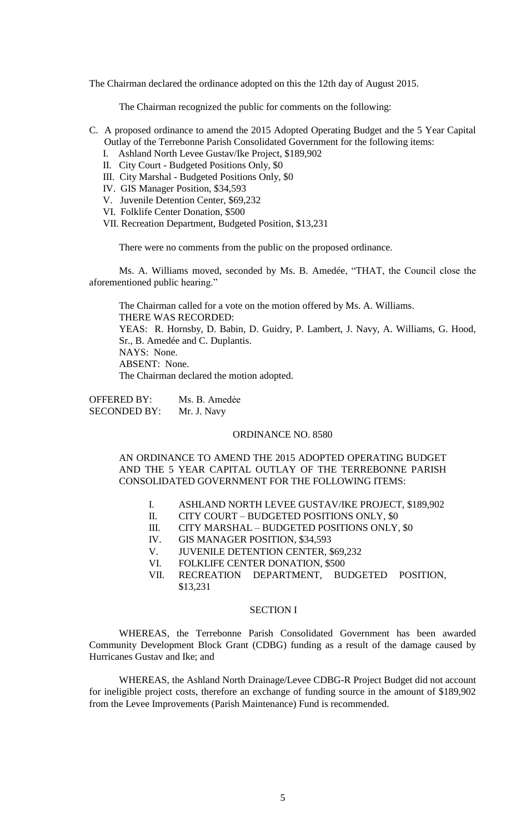The Chairman declared the ordinance adopted on this the 12th day of August 2015.

The Chairman recognized the public for comments on the following:

- C. A proposed ordinance to amend the 2015 Adopted Operating Budget and the 5 Year Capital Outlay of the Terrebonne Parish Consolidated Government for the following items:
	- I. Ashland North Levee Gustav/Ike Project, \$189,902
	- II. City Court Budgeted Positions Only, \$0
	- III. City Marshal Budgeted Positions Only, \$0
	- IV. GIS Manager Position, \$34,593
	- V. Juvenile Detention Center, \$69,232
	- VI. Folklife Center Donation, \$500
	- VII. Recreation Department, Budgeted Position, \$13,231

There were no comments from the public on the proposed ordinance.

Ms. A. Williams moved, seconded by Ms. B. Amedée, "THAT, the Council close the aforementioned public hearing."

The Chairman called for a vote on the motion offered by Ms. A. Williams. THERE WAS RECORDED: YEAS: R. Hornsby, D. Babin, D. Guidry, P. Lambert, J. Navy, A. Williams, G. Hood, Sr., B. Amedée and C. Duplantis. NAYS: None. ABSENT: None.

The Chairman declared the motion adopted.

OFFERED BY: Ms. B. Amedẻe SECONDED BY: Mr. J. Navy

#### ORDINANCE NO. 8580

AN ORDINANCE TO AMEND THE 2015 ADOPTED OPERATING BUDGET AND THE 5 YEAR CAPITAL OUTLAY OF THE TERREBONNE PARISH CONSOLIDATED GOVERNMENT FOR THE FOLLOWING ITEMS:

- I. ASHLAND NORTH LEVEE GUSTAV/IKE PROJECT, \$189,902
- II. CITY COURT BUDGETED POSITIONS ONLY, \$0
- III. CITY MARSHAL BUDGETED POSITIONS ONLY, \$0
- IV. GIS MANAGER POSITION, \$34,593<br>V. JUVENILE DETENTION CENTER, \$
- JUVENILE DETENTION CENTER, \$69,232
- VI. FOLKLIFE CENTER DONATION, \$500
- VII. RECREATION DEPARTMENT, BUDGETED POSITION, \$13,231

## SECTION I

WHEREAS, the Terrebonne Parish Consolidated Government has been awarded Community Development Block Grant (CDBG) funding as a result of the damage caused by Hurricanes Gustav and Ike; and

WHEREAS, the Ashland North Drainage/Levee CDBG-R Project Budget did not account for ineligible project costs, therefore an exchange of funding source in the amount of \$189,902 from the Levee Improvements (Parish Maintenance) Fund is recommended.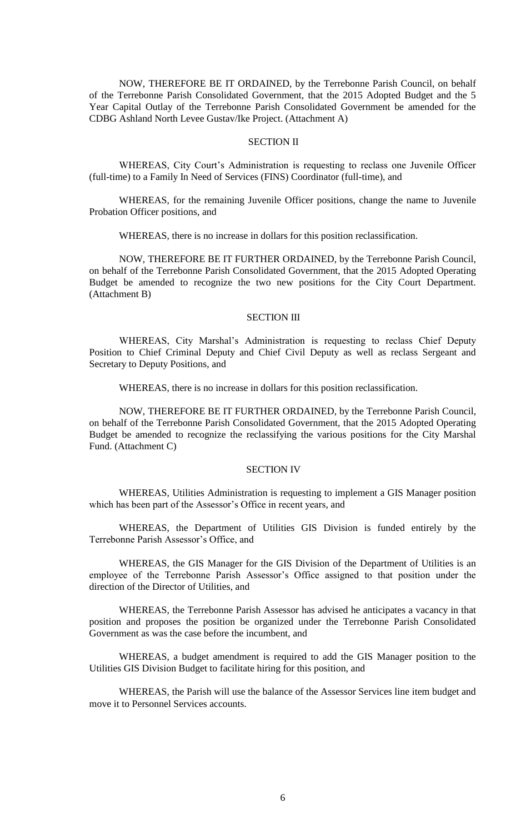NOW, THEREFORE BE IT ORDAINED, by the Terrebonne Parish Council, on behalf of the Terrebonne Parish Consolidated Government, that the 2015 Adopted Budget and the 5 Year Capital Outlay of the Terrebonne Parish Consolidated Government be amended for the CDBG Ashland North Levee Gustav/Ike Project. (Attachment A)

### SECTION II

WHEREAS, City Court's Administration is requesting to reclass one Juvenile Officer (full-time) to a Family In Need of Services (FINS) Coordinator (full-time), and

WHEREAS, for the remaining Juvenile Officer positions, change the name to Juvenile Probation Officer positions, and

WHEREAS, there is no increase in dollars for this position reclassification.

NOW, THEREFORE BE IT FURTHER ORDAINED, by the Terrebonne Parish Council, on behalf of the Terrebonne Parish Consolidated Government, that the 2015 Adopted Operating Budget be amended to recognize the two new positions for the City Court Department. (Attachment B)

#### SECTION III

WHEREAS, City Marshal's Administration is requesting to reclass Chief Deputy Position to Chief Criminal Deputy and Chief Civil Deputy as well as reclass Sergeant and Secretary to Deputy Positions, and

WHEREAS, there is no increase in dollars for this position reclassification.

NOW, THEREFORE BE IT FURTHER ORDAINED, by the Terrebonne Parish Council, on behalf of the Terrebonne Parish Consolidated Government, that the 2015 Adopted Operating Budget be amended to recognize the reclassifying the various positions for the City Marshal Fund. (Attachment C)

#### SECTION IV

WHEREAS, Utilities Administration is requesting to implement a GIS Manager position which has been part of the Assessor's Office in recent years, and

WHEREAS, the Department of Utilities GIS Division is funded entirely by the Terrebonne Parish Assessor's Office, and

WHEREAS, the GIS Manager for the GIS Division of the Department of Utilities is an employee of the Terrebonne Parish Assessor's Office assigned to that position under the direction of the Director of Utilities, and

WHEREAS, the Terrebonne Parish Assessor has advised he anticipates a vacancy in that position and proposes the position be organized under the Terrebonne Parish Consolidated Government as was the case before the incumbent, and

WHEREAS, a budget amendment is required to add the GIS Manager position to the Utilities GIS Division Budget to facilitate hiring for this position, and

WHEREAS, the Parish will use the balance of the Assessor Services line item budget and move it to Personnel Services accounts.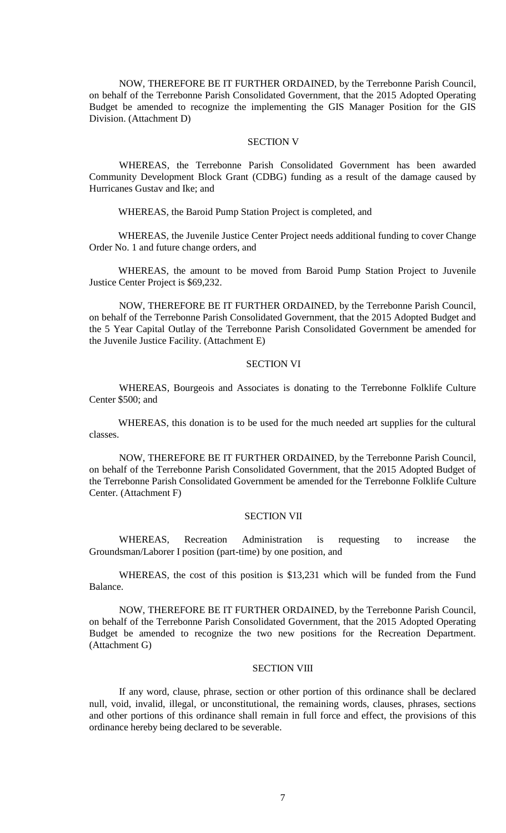NOW, THEREFORE BE IT FURTHER ORDAINED, by the Terrebonne Parish Council, on behalf of the Terrebonne Parish Consolidated Government, that the 2015 Adopted Operating Budget be amended to recognize the implementing the GIS Manager Position for the GIS Division. (Attachment D)

### SECTION V

WHEREAS, the Terrebonne Parish Consolidated Government has been awarded Community Development Block Grant (CDBG) funding as a result of the damage caused by Hurricanes Gustav and Ike; and

WHEREAS, the Baroid Pump Station Project is completed, and

WHEREAS, the Juvenile Justice Center Project needs additional funding to cover Change Order No. 1 and future change orders, and

WHEREAS, the amount to be moved from Baroid Pump Station Project to Juvenile Justice Center Project is \$69,232.

NOW, THEREFORE BE IT FURTHER ORDAINED, by the Terrebonne Parish Council, on behalf of the Terrebonne Parish Consolidated Government, that the 2015 Adopted Budget and the 5 Year Capital Outlay of the Terrebonne Parish Consolidated Government be amended for the Juvenile Justice Facility. (Attachment E)

### SECTION VI

WHEREAS, Bourgeois and Associates is donating to the Terrebonne Folklife Culture Center \$500; and

WHEREAS, this donation is to be used for the much needed art supplies for the cultural classes.

NOW, THEREFORE BE IT FURTHER ORDAINED, by the Terrebonne Parish Council, on behalf of the Terrebonne Parish Consolidated Government, that the 2015 Adopted Budget of the Terrebonne Parish Consolidated Government be amended for the Terrebonne Folklife Culture Center. (Attachment F)

### SECTION VII

WHEREAS, Recreation Administration is requesting to increase the Groundsman/Laborer I position (part-time) by one position, and

WHEREAS, the cost of this position is \$13,231 which will be funded from the Fund Balance.

NOW, THEREFORE BE IT FURTHER ORDAINED, by the Terrebonne Parish Council, on behalf of the Terrebonne Parish Consolidated Government, that the 2015 Adopted Operating Budget be amended to recognize the two new positions for the Recreation Department. (Attachment G)

### **SECTION VIII**

If any word, clause, phrase, section or other portion of this ordinance shall be declared null, void, invalid, illegal, or unconstitutional, the remaining words, clauses, phrases, sections and other portions of this ordinance shall remain in full force and effect, the provisions of this ordinance hereby being declared to be severable.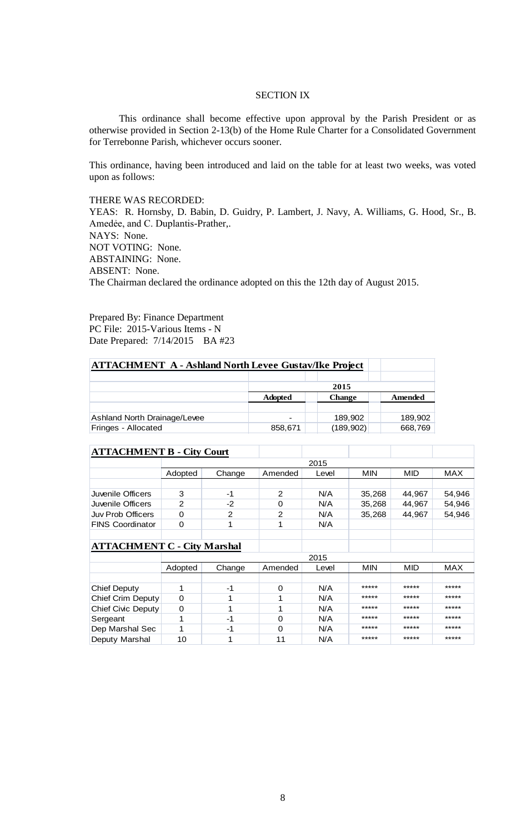# SECTION IX

This ordinance shall become effective upon approval by the Parish President or as otherwise provided in Section 2-13(b) of the Home Rule Charter for a Consolidated Government for Terrebonne Parish, whichever occurs sooner.

This ordinance, having been introduced and laid on the table for at least two weeks, was voted upon as follows:

### THERE WAS RECORDED:

YEAS: R. Hornsby, D. Babin, D. Guidry, P. Lambert, J. Navy, A. Williams, G. Hood, Sr., B. Amedėe, and C. Duplantis-Prather,. NAYS: None. NOT VOTING: None. ABSTAINING: None. ABSENT: None. The Chairman declared the ordinance adopted on this the 12th day of August 2015.

Prepared By: Finance Department PC File: 2015-Various Items - N Date Prepared: 7/14/2015 BA #23

| <b>ATTACHMENT A - Ashland North Levee Gustav/Ike Project</b> |                |               |                |  |  |
|--------------------------------------------------------------|----------------|---------------|----------------|--|--|
|                                                              |                |               |                |  |  |
|                                                              | 2015           |               |                |  |  |
|                                                              | <b>Adopted</b> | <b>Change</b> | <b>Amended</b> |  |  |
|                                                              |                |               |                |  |  |
| Ashland North Drainage/Levee                                 |                | 189,902       | 189,902        |  |  |
| Fringes - Allocated                                          | 858,671        | (189, 902)    | 668,769        |  |  |

| <b>ATTACHMENT B - City Court</b> |         |        |                |       |        |        |            |
|----------------------------------|---------|--------|----------------|-------|--------|--------|------------|
|                                  | 2015    |        |                |       |        |        |            |
|                                  | Adopted | Change | Amended        | Level | MIN    | MID    | <b>MAX</b> |
|                                  |         |        |                |       |        |        |            |
| Juvenile Officers                | 3       | -1     | 2              | N/A   | 35,268 | 44.967 | 54,946     |
| Juvenile Officers                | 2       | -2     |                | N/A   | 35,268 | 44,967 | 54,946     |
| <b>Juv Prob Officers</b>         | 0       | っ      | $\mathfrak{p}$ | N/A   | 35,268 | 44.967 | 54,946     |
| <b>FINS Coordinator</b>          | 0       |        |                | N/A   |        |        |            |
|                                  |         |        |                |       |        |        |            |

## **ATTACHMENT C - City Marshal**

|                     | 2015    |        |         |       |            |       |            |
|---------------------|---------|--------|---------|-------|------------|-------|------------|
|                     | Adopted | Change | Amended | Level | <b>MIN</b> | MID   | <b>MAX</b> |
|                     |         |        |         |       |            |       |            |
| <b>Chief Deputy</b> |         | -1     |         | N/A   | *****      | ***** | *****      |
| Chief Crim Deputy   |         |        |         | N/A   | *****      | ***** | *****      |
| Chief Civic Deputy  |         |        |         | N/A   | *****      | ***** | *****      |
| Sergeant            |         | $-1$   | 0       | N/A   | *****      | ***** | *****      |
| Dep Marshal Sec     |         | -1     | 0       | N/A   | *****      | ***** | *****      |
| Deputy Marshal      | 10      |        | 11      | N/A   | *****      | ***** | *****      |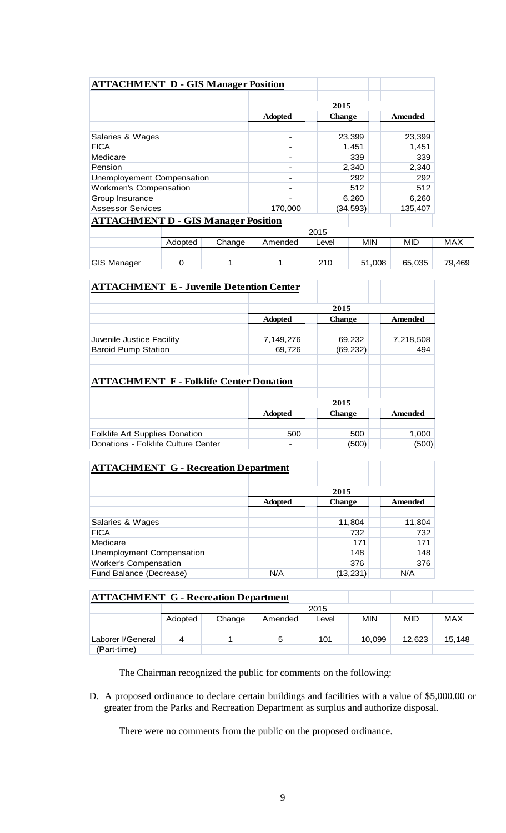| <b>ATTACHMENT D - GIS Manager Position</b> |         |        |                |       |               |         |            |
|--------------------------------------------|---------|--------|----------------|-------|---------------|---------|------------|
|                                            |         |        |                |       | 2015          |         |            |
|                                            |         |        | <b>Adopted</b> |       | <b>Change</b> | Amended |            |
| Salaries & Wages                           |         |        |                |       | 23,399        | 23,399  |            |
| <b>FICA</b>                                |         |        |                |       | 1,451         | 1,451   |            |
| Medicare                                   |         |        |                |       | 339           | 339     |            |
| Pension                                    |         |        |                | 2,340 |               | 2,340   |            |
| Unemployement Compensation                 |         |        |                |       | 292           | 292     |            |
| Workmen's Compensation                     |         |        |                |       | 512           | 512     |            |
| Group Insurance                            |         |        |                |       | 6,260         | 6,260   |            |
| <b>Assessor Services</b>                   |         |        | 170,000        |       | (34, 593)     | 135,407 |            |
| <b>ATTACHMENT D - GIS Manager Position</b> |         |        |                |       |               |         |            |
|                                            |         |        |                | 2015  |               |         |            |
|                                            | Adopted | Change | Amended        | Level | MIN           | MID     | <b>MAX</b> |
| <b>GIS Manager</b>                         | 0       |        | 1              | 210   | 51,008        | 65.035  | 79,469     |

| <b>ATTACHMENT E - Juvenile Detention Center</b> |                                            |           |           |  |  |
|-------------------------------------------------|--------------------------------------------|-----------|-----------|--|--|
|                                                 |                                            | 2015      |           |  |  |
|                                                 | Amended<br><b>Adopted</b><br><b>Change</b> |           |           |  |  |
| Juvenile Justice Facility                       | 7,149,276                                  | 69,232    | 7,218,508 |  |  |
| <b>Baroid Pump Station</b>                      | 69,726                                     | (69, 232) | 494       |  |  |
|                                                 |                                            |           |           |  |  |
| <b>ATTACHMENT F - Folklife Center Donation</b>  |                                            |           |           |  |  |
|                                                 |                                            | 2015      |           |  |  |
|                                                 | <b>Change</b><br>Amended<br><b>Adopted</b> |           |           |  |  |
| <b>Folklife Art Supplies Donation</b>           | 500                                        | 500       | 1,000     |  |  |
| Donations - Folklife Culture Center             |                                            | (500)     | (500)     |  |  |

| <b>ATTACHMENT G - Recreation Department</b> |                                            |          |        |  |  |  |
|---------------------------------------------|--------------------------------------------|----------|--------|--|--|--|
|                                             |                                            |          |        |  |  |  |
|                                             |                                            | 2015     |        |  |  |  |
|                                             | <b>Adopted</b><br>Amended<br><b>Change</b> |          |        |  |  |  |
|                                             |                                            |          |        |  |  |  |
| Salaries & Wages                            |                                            | 11,804   | 11,804 |  |  |  |
| <b>FICA</b>                                 |                                            | 732      | 732    |  |  |  |
| Medicare                                    |                                            | 171      | 171    |  |  |  |
| Unemployment Compensation                   |                                            | 148      | 148    |  |  |  |
| <b>Worker's Compensation</b>                |                                            | 376      | 376    |  |  |  |
| Fund Balance (Decrease)                     | N/A                                        | (13,231) | N/A    |  |  |  |

| <b>ATTACHMENT G - Recreation Department</b> |         |        |         |       |            |        |            |
|---------------------------------------------|---------|--------|---------|-------|------------|--------|------------|
| 2015                                        |         |        |         |       |            |        |            |
|                                             | Adopted | Change | Amended | Level | <b>MIN</b> | MID    | <b>MAX</b> |
|                                             |         |        |         |       |            |        |            |
| Laborer I/General                           |         |        |         | 101   | 10,099     | 12.623 | 15,148     |
| (Part-time)                                 |         |        |         |       |            |        |            |

The Chairman recognized the public for comments on the following:

D. A proposed ordinance to declare certain buildings and facilities with a value of \$5,000.00 or greater from the Parks and Recreation Department as surplus and authorize disposal.

There were no comments from the public on the proposed ordinance.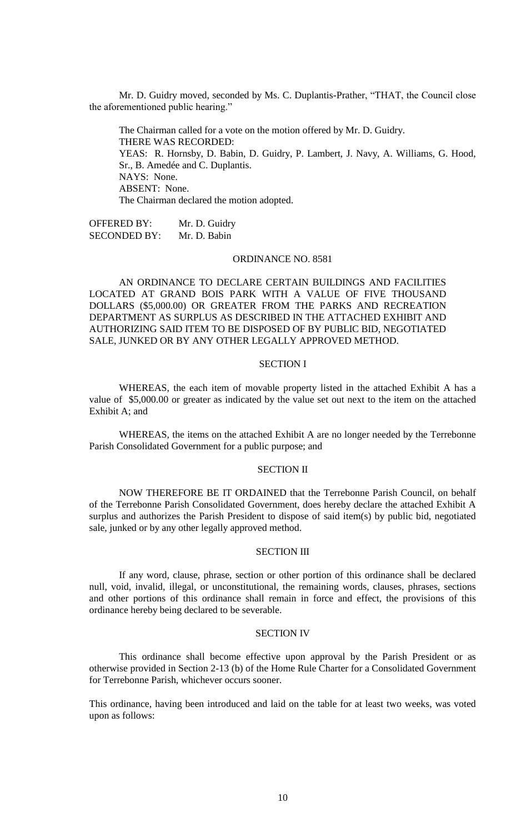Mr. D. Guidry moved, seconded by Ms. C. Duplantis-Prather, "THAT, the Council close the aforementioned public hearing."

The Chairman called for a vote on the motion offered by Mr. D. Guidry. THERE WAS RECORDED: YEAS: R. Hornsby, D. Babin, D. Guidry, P. Lambert, J. Navy, A. Williams, G. Hood, Sr., B. Amedée and C. Duplantis. NAYS: None. ABSENT: None. The Chairman declared the motion adopted.

OFFERED BY: Mr. D. Guidry SECONDED BY: Mr. D. Babin

#### ORDINANCE NO. 8581

AN ORDINANCE TO DECLARE CERTAIN BUILDINGS AND FACILITIES LOCATED AT GRAND BOIS PARK WITH A VALUE OF FIVE THOUSAND DOLLARS (\$5,000.00) OR GREATER FROM THE PARKS AND RECREATION DEPARTMENT AS SURPLUS AS DESCRIBED IN THE ATTACHED EXHIBIT AND AUTHORIZING SAID ITEM TO BE DISPOSED OF BY PUBLIC BID, NEGOTIATED SALE, JUNKED OR BY ANY OTHER LEGALLY APPROVED METHOD.

### SECTION I

WHEREAS, the each item of movable property listed in the attached Exhibit A has a value of \$5,000.00 or greater as indicated by the value set out next to the item on the attached Exhibit A; and

WHEREAS, the items on the attached Exhibit A are no longer needed by the Terrebonne Parish Consolidated Government for a public purpose; and

#### SECTION II

NOW THEREFORE BE IT ORDAINED that the Terrebonne Parish Council, on behalf of the Terrebonne Parish Consolidated Government, does hereby declare the attached Exhibit A surplus and authorizes the Parish President to dispose of said item(s) by public bid, negotiated sale, junked or by any other legally approved method.

### SECTION III

If any word, clause, phrase, section or other portion of this ordinance shall be declared null, void, invalid, illegal, or unconstitutional, the remaining words, clauses, phrases, sections and other portions of this ordinance shall remain in force and effect, the provisions of this ordinance hereby being declared to be severable.

### SECTION IV

This ordinance shall become effective upon approval by the Parish President or as otherwise provided in Section 2-13 (b) of the Home Rule Charter for a Consolidated Government for Terrebonne Parish, whichever occurs sooner.

This ordinance, having been introduced and laid on the table for at least two weeks, was voted upon as follows: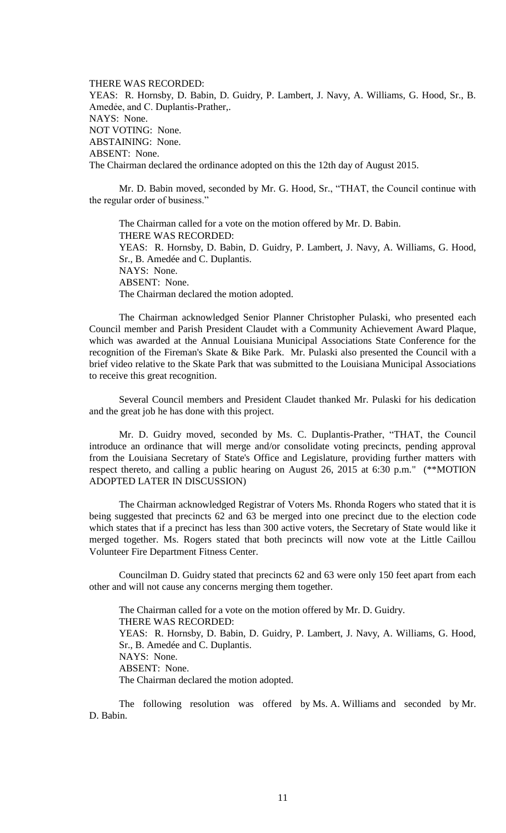THERE WAS RECORDED: YEAS: R. Hornsby, D. Babin, D. Guidry, P. Lambert, J. Navy, A. Williams, G. Hood, Sr., B. Amedėe, and C. Duplantis-Prather,. NAYS: None. NOT VOTING: None. ABSTAINING: None. ABSENT: None. The Chairman declared the ordinance adopted on this the 12th day of August 2015.

Mr. D. Babin moved, seconded by Mr. G. Hood, Sr., "THAT, the Council continue with the regular order of business."

The Chairman called for a vote on the motion offered by Mr. D. Babin. THERE WAS RECORDED: YEAS: R. Hornsby, D. Babin, D. Guidry, P. Lambert, J. Navy, A. Williams, G. Hood, Sr., B. Amedée and C. Duplantis. NAYS: None. ABSENT: None. The Chairman declared the motion adopted.

The Chairman acknowledged Senior Planner Christopher Pulaski, who presented each Council member and Parish President Claudet with a Community Achievement Award Plaque, which was awarded at the Annual Louisiana Municipal Associations State Conference for the recognition of the Fireman's Skate & Bike Park. Mr. Pulaski also presented the Council with a brief video relative to the Skate Park that was submitted to the Louisiana Municipal Associations to receive this great recognition.

Several Council members and President Claudet thanked Mr. Pulaski for his dedication and the great job he has done with this project.

Mr. D. Guidry moved, seconded by Ms. C. Duplantis-Prather, "THAT, the Council introduce an ordinance that will merge and/or consolidate voting precincts, pending approval from the Louisiana Secretary of State's Office and Legislature, providing further matters with respect thereto, and calling a public hearing on August 26, 2015 at 6:30 p.m." (\*\*MOTION ADOPTED LATER IN DISCUSSION)

The Chairman acknowledged Registrar of Voters Ms. Rhonda Rogers who stated that it is being suggested that precincts 62 and 63 be merged into one precinct due to the election code which states that if a precinct has less than 300 active voters, the Secretary of State would like it merged together. Ms. Rogers stated that both precincts will now vote at the Little Caillou Volunteer Fire Department Fitness Center.

Councilman D. Guidry stated that precincts 62 and 63 were only 150 feet apart from each other and will not cause any concerns merging them together.

The Chairman called for a vote on the motion offered by Mr. D. Guidry. THERE WAS RECORDED: YEAS: R. Hornsby, D. Babin, D. Guidry, P. Lambert, J. Navy, A. Williams, G. Hood, Sr., B. Amedée and C. Duplantis. NAYS: None. ABSENT: None. The Chairman declared the motion adopted.

The following resolution was offered by Ms. A. Williams and seconded by Mr. D. Babin.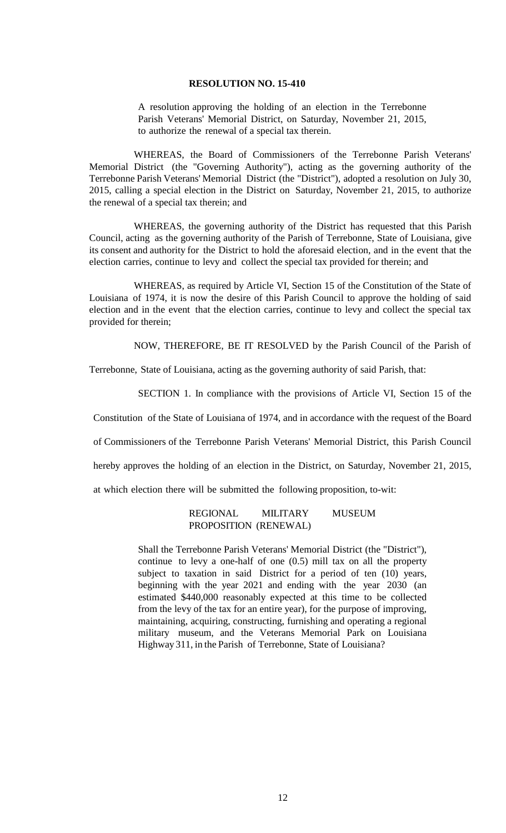### **RESOLUTION NO. 15-410**

A resolution approving the holding of an election in the Terrebonne Parish Veterans' Memorial District, on Saturday, November 21, 2015, to authorize the renewal of a special tax therein.

WHEREAS, the Board of Commissioners of the Terrebonne Parish Veterans' Memorial District (the "Governing Authority"), acting as the governing authority of the Terrebonne Parish Veterans' Memorial District (the "District"), adopted a resolution on July 30, 2015, calling a special election in the District on Saturday, November 21, 2015, to authorize the renewal of a special tax therein; and

WHEREAS, the governing authority of the District has requested that this Parish Council, acting as the governing authority of the Parish of Terrebonne, State of Louisiana, give its consent and authority for the District to hold the aforesaid election, and in the event that the election carries, continue to levy and collect the special tax provided for therein; and

WHEREAS, as required by Article VI, Section 15 of the Constitution of the State of Louisiana of 1974, it is now the desire of this Parish Council to approve the holding of said election and in the event that the election carries, continue to levy and collect the special tax provided for therein;

NOW, THEREFORE, BE IT RESOLVED by the Parish Council of the Parish of

Terrebonne, State of Louisiana, acting as the governing authority of said Parish, that:

SECTION 1. In compliance with the provisions of Article VI, Section 15 of the

Constitution of the State of Louisiana of 1974, and in accordance with the request of the Board

of Commissioners of the Terrebonne Parish Veterans' Memorial District, this Parish Council

hereby approves the holding of an election in the District, on Saturday, November 21, 2015,

at which election there will be submitted the following proposition, to-wit:

## REGIONAL MILITARY MUSEUM PROPOSITION (RENEWAL)

Shall the Terrebonne Parish Veterans' Memorial District (the "District"), continue to levy a one-half of one (0.5) mill tax on all the property subject to taxation in said District for a period of ten (10) years, beginning with the year 2021 and ending with the year 2030 (an estimated \$440,000 reasonably expected at this time to be collected from the levy of the tax for an entire year), for the purpose of improving, maintaining, acquiring, constructing, furnishing and operating a regional military museum, and the Veterans Memorial Park on Louisiana Highway 311, in the Parish of Terrebonne, State of Louisiana?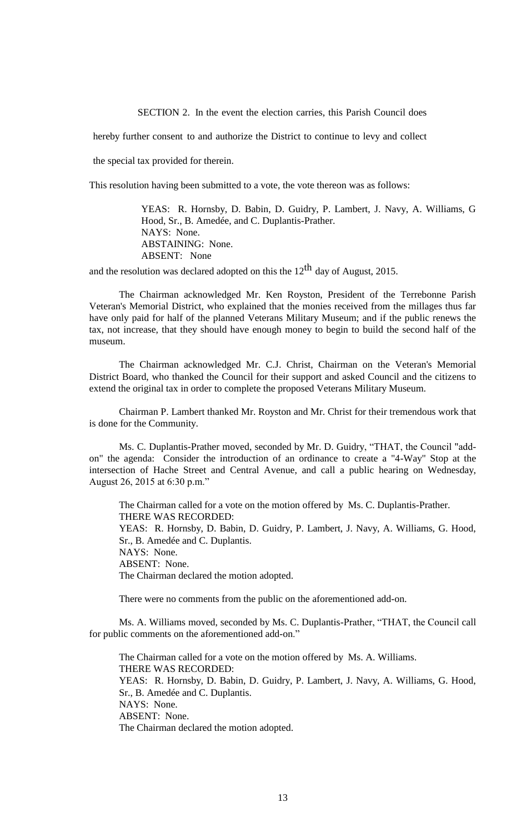SECTION 2. In the event the election carries, this Parish Council does

hereby further consent to and authorize the District to continue to levy and collect

the special tax provided for therein.

This resolution having been submitted to a vote, the vote thereon was as follows:

YEAS: R. Hornsby, D. Babin, D. Guidry, P. Lambert, J. Navy, A. Williams, G Hood, Sr., B. Amedée, and C. Duplantis-Prather. NAYS: None. ABSTAINING: None. ABSENT: None

and the resolution was declared adopted on this the  $12<sup>th</sup>$  day of August, 2015.

The Chairman acknowledged Mr. Ken Royston, President of the Terrebonne Parish Veteran's Memorial District, who explained that the monies received from the millages thus far have only paid for half of the planned Veterans Military Museum; and if the public renews the tax, not increase, that they should have enough money to begin to build the second half of the museum.

The Chairman acknowledged Mr. C.J. Christ, Chairman on the Veteran's Memorial District Board, who thanked the Council for their support and asked Council and the citizens to extend the original tax in order to complete the proposed Veterans Military Museum.

Chairman P. Lambert thanked Mr. Royston and Mr. Christ for their tremendous work that is done for the Community.

Ms. C. Duplantis-Prather moved, seconded by Mr. D. Guidry, "THAT, the Council "addon" the agenda: Consider the introduction of an ordinance to create a "4-Way" Stop at the intersection of Hache Street and Central Avenue, and call a public hearing on Wednesday, August 26, 2015 at 6:30 p.m."

The Chairman called for a vote on the motion offered by Ms. C. Duplantis-Prather. THERE WAS RECORDED: YEAS: R. Hornsby, D. Babin, D. Guidry, P. Lambert, J. Navy, A. Williams, G. Hood, Sr., B. Amedée and C. Duplantis. NAYS: None. ABSENT: None. The Chairman declared the motion adopted.

There were no comments from the public on the aforementioned add-on.

Ms. A. Williams moved, seconded by Ms. C. Duplantis-Prather, "THAT, the Council call for public comments on the aforementioned add-on."

The Chairman called for a vote on the motion offered by Ms. A. Williams. THERE WAS RECORDED: YEAS: R. Hornsby, D. Babin, D. Guidry, P. Lambert, J. Navy, A. Williams, G. Hood, Sr., B. Amedée and C. Duplantis. NAYS: None. ABSENT: None. The Chairman declared the motion adopted.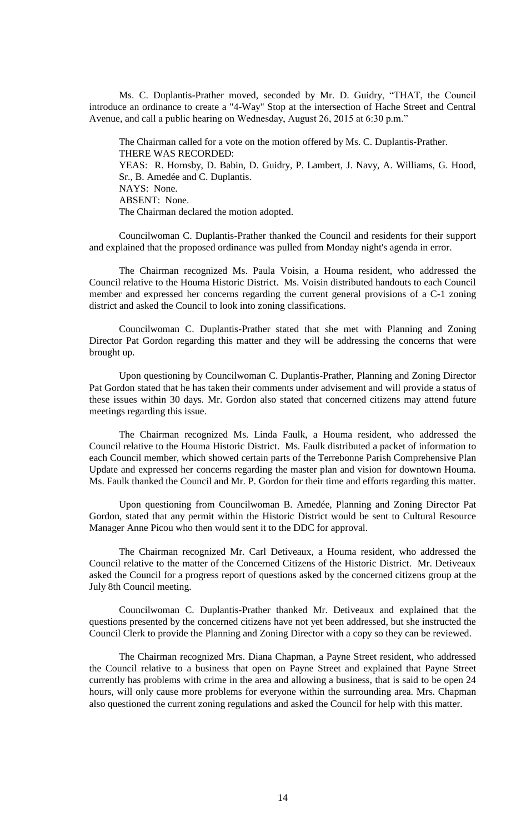Ms. C. Duplantis-Prather moved, seconded by Mr. D. Guidry, "THAT, the Council introduce an ordinance to create a "4-Way" Stop at the intersection of Hache Street and Central Avenue, and call a public hearing on Wednesday, August 26, 2015 at 6:30 p.m."

The Chairman called for a vote on the motion offered by Ms. C. Duplantis-Prather. THERE WAS RECORDED: YEAS: R. Hornsby, D. Babin, D. Guidry, P. Lambert, J. Navy, A. Williams, G. Hood, Sr., B. Amedée and C. Duplantis. NAYS: None. ABSENT: None. The Chairman declared the motion adopted.

Councilwoman C. Duplantis-Prather thanked the Council and residents for their support and explained that the proposed ordinance was pulled from Monday night's agenda in error.

The Chairman recognized Ms. Paula Voisin, a Houma resident, who addressed the Council relative to the Houma Historic District. Ms. Voisin distributed handouts to each Council member and expressed her concerns regarding the current general provisions of a C-1 zoning district and asked the Council to look into zoning classifications.

Councilwoman C. Duplantis-Prather stated that she met with Planning and Zoning Director Pat Gordon regarding this matter and they will be addressing the concerns that were brought up.

Upon questioning by Councilwoman C. Duplantis-Prather, Planning and Zoning Director Pat Gordon stated that he has taken their comments under advisement and will provide a status of these issues within 30 days. Mr. Gordon also stated that concerned citizens may attend future meetings regarding this issue.

The Chairman recognized Ms. Linda Faulk, a Houma resident, who addressed the Council relative to the Houma Historic District. Ms. Faulk distributed a packet of information to each Council member, which showed certain parts of the Terrebonne Parish Comprehensive Plan Update and expressed her concerns regarding the master plan and vision for downtown Houma. Ms. Faulk thanked the Council and Mr. P. Gordon for their time and efforts regarding this matter.

Upon questioning from Councilwoman B. Amedée, Planning and Zoning Director Pat Gordon, stated that any permit within the Historic District would be sent to Cultural Resource Manager Anne Picou who then would sent it to the DDC for approval.

The Chairman recognized Mr. Carl Detiveaux, a Houma resident, who addressed the Council relative to the matter of the Concerned Citizens of the Historic District. Mr. Detiveaux asked the Council for a progress report of questions asked by the concerned citizens group at the July 8th Council meeting.

Councilwoman C. Duplantis-Prather thanked Mr. Detiveaux and explained that the questions presented by the concerned citizens have not yet been addressed, but she instructed the Council Clerk to provide the Planning and Zoning Director with a copy so they can be reviewed.

The Chairman recognized Mrs. Diana Chapman, a Payne Street resident, who addressed the Council relative to a business that open on Payne Street and explained that Payne Street currently has problems with crime in the area and allowing a business, that is said to be open 24 hours, will only cause more problems for everyone within the surrounding area. Mrs. Chapman also questioned the current zoning regulations and asked the Council for help with this matter.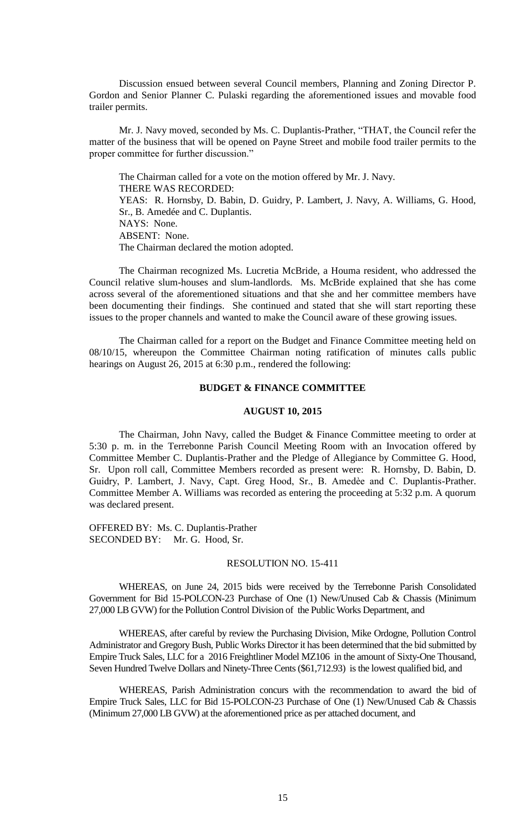Discussion ensued between several Council members, Planning and Zoning Director P. Gordon and Senior Planner C. Pulaski regarding the aforementioned issues and movable food trailer permits.

Mr. J. Navy moved, seconded by Ms. C. Duplantis-Prather, "THAT, the Council refer the matter of the business that will be opened on Payne Street and mobile food trailer permits to the proper committee for further discussion."

The Chairman called for a vote on the motion offered by Mr. J. Navy. THERE WAS RECORDED: YEAS: R. Hornsby, D. Babin, D. Guidry, P. Lambert, J. Navy, A. Williams, G. Hood, Sr., B. Amedée and C. Duplantis. NAYS: None. ABSENT: None. The Chairman declared the motion adopted.

The Chairman recognized Ms. Lucretia McBride, a Houma resident, who addressed the Council relative slum-houses and slum-landlords. Ms. McBride explained that she has come across several of the aforementioned situations and that she and her committee members have been documenting their findings. She continued and stated that she will start reporting these issues to the proper channels and wanted to make the Council aware of these growing issues.

The Chairman called for a report on the Budget and Finance Committee meeting held on 08/10/15, whereupon the Committee Chairman noting ratification of minutes calls public hearings on August 26, 2015 at 6:30 p.m., rendered the following:

## **BUDGET & FINANCE COMMITTEE**

### **AUGUST 10, 2015**

The Chairman, John Navy, called the Budget & Finance Committee meeting to order at 5:30 p. m. in the Terrebonne Parish Council Meeting Room with an Invocation offered by Committee Member C. Duplantis-Prather and the Pledge of Allegiance by Committee G. Hood, Sr. Upon roll call, Committee Members recorded as present were: R. Hornsby, D. Babin, D. Guidry, P. Lambert, J. Navy, Capt. Greg Hood, Sr., B. Amedèe and C. Duplantis-Prather. Committee Member A. Williams was recorded as entering the proceeding at 5:32 p.m. A quorum was declared present.

OFFERED BY: Ms. C. Duplantis-Prather SECONDED BY: Mr. G. Hood, Sr.

#### RESOLUTION NO. 15-411

WHEREAS, on June 24, 2015 bids were received by the Terrebonne Parish Consolidated Government for Bid 15-POLCON-23 Purchase of One (1) New/Unused Cab & Chassis (Minimum 27,000 LB GVW) for the Pollution Control Division of the Public Works Department, and

WHEREAS, after careful by review the Purchasing Division, Mike Ordogne, Pollution Control Administrator and Gregory Bush, Public Works Director it has been determined that the bid submitted by Empire Truck Sales, LLC for a 2016 Freightliner Model MZ106 in the amount of Sixty-One Thousand, Seven Hundred Twelve Dollars and Ninety-Three Cents (\$61,712.93) is the lowest qualified bid, and

WHEREAS, Parish Administration concurs with the recommendation to award the bid of Empire Truck Sales, LLC for Bid 15-POLCON-23 Purchase of One (1) New/Unused Cab & Chassis (Minimum 27,000 LB GVW) at the aforementioned price as per attached document, and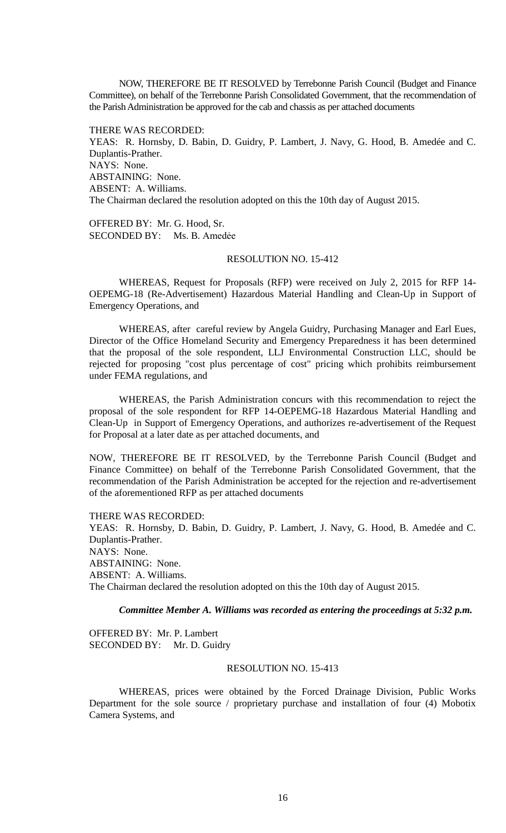NOW, THEREFORE BE IT RESOLVED by Terrebonne Parish Council (Budget and Finance Committee), on behalf of the Terrebonne Parish Consolidated Government, that the recommendation of the Parish Administration be approved for the cab and chassis as per attached documents

THERE WAS RECORDED: YEAS: R. Hornsby, D. Babin, D. Guidry, P. Lambert, J. Navy, G. Hood, B. Amedée and C. Duplantis-Prather. NAYS: None. ABSTAINING: None. ABSENT: A. Williams. The Chairman declared the resolution adopted on this the 10th day of August 2015.

OFFERED BY: Mr. G. Hood, Sr. SECONDED BY: Ms. B. Amedẻe

# RESOLUTION NO. 15-412

WHEREAS, Request for Proposals (RFP) were received on July 2, 2015 for RFP 14- OEPEMG-18 (Re-Advertisement) Hazardous Material Handling and Clean-Up in Support of Emergency Operations, and

WHEREAS, after careful review by Angela Guidry, Purchasing Manager and Earl Eues, Director of the Office Homeland Security and Emergency Preparedness it has been determined that the proposal of the sole respondent, LLJ Environmental Construction LLC, should be rejected for proposing "cost plus percentage of cost" pricing which prohibits reimbursement under FEMA regulations, and

WHEREAS, the Parish Administration concurs with this recommendation to reject the proposal of the sole respondent for RFP 14-OEPEMG-18 Hazardous Material Handling and Clean-Up in Support of Emergency Operations, and authorizes re-advertisement of the Request for Proposal at a later date as per attached documents, and

NOW, THEREFORE BE IT RESOLVED, by the Terrebonne Parish Council (Budget and Finance Committee) on behalf of the Terrebonne Parish Consolidated Government, that the recommendation of the Parish Administration be accepted for the rejection and re-advertisement of the aforementioned RFP as per attached documents

THERE WAS RECORDED:

YEAS: R. Hornsby, D. Babin, D. Guidry, P. Lambert, J. Navy, G. Hood, B. Amedée and C. Duplantis-Prather. NAYS: None. ABSTAINING: None. ABSENT: A. Williams. The Chairman declared the resolution adopted on this the 10th day of August 2015.

## *Committee Member A. Williams was recorded as entering the proceedings at 5:32 p.m.*

OFFERED BY: Mr. P. Lambert SECONDED BY: Mr. D. Guidry

### RESOLUTION NO. 15-413

WHEREAS, prices were obtained by the Forced Drainage Division, Public Works Department for the sole source / proprietary purchase and installation of four (4) Mobotix Camera Systems, and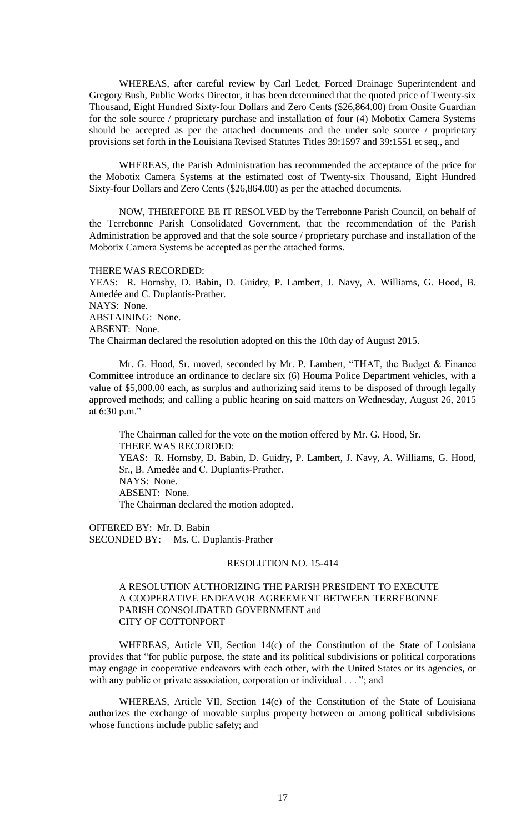WHEREAS, after careful review by Carl Ledet, Forced Drainage Superintendent and Gregory Bush, Public Works Director, it has been determined that the quoted price of Twenty-six Thousand, Eight Hundred Sixty-four Dollars and Zero Cents (\$26,864.00) from Onsite Guardian for the sole source / proprietary purchase and installation of four (4) Mobotix Camera Systems should be accepted as per the attached documents and the under sole source / proprietary provisions set forth in the Louisiana Revised Statutes Titles 39:1597 and 39:1551 et seq., and

WHEREAS, the Parish Administration has recommended the acceptance of the price for the Mobotix Camera Systems at the estimated cost of Twenty-six Thousand, Eight Hundred Sixty-four Dollars and Zero Cents (\$26,864.00) as per the attached documents.

NOW, THEREFORE BE IT RESOLVED by the Terrebonne Parish Council, on behalf of the Terrebonne Parish Consolidated Government, that the recommendation of the Parish Administration be approved and that the sole source / proprietary purchase and installation of the Mobotix Camera Systems be accepted as per the attached forms.

#### THERE WAS RECORDED:

YEAS: R. Hornsby, D. Babin, D. Guidry, P. Lambert, J. Navy, A. Williams, G. Hood, B. Amedée and C. Duplantis-Prather. NAYS: None. ABSTAINING: None. ABSENT: None. The Chairman declared the resolution adopted on this the 10th day of August 2015.

Mr. G. Hood, Sr. moved, seconded by Mr. P. Lambert, "THAT, the Budget & Finance Committee introduce an ordinance to declare six (6) Houma Police Department vehicles, with a value of \$5,000.00 each, as surplus and authorizing said items to be disposed of through legally approved methods; and calling a public hearing on said matters on Wednesday, August 26, 2015 at 6:30 p.m."

The Chairman called for the vote on the motion offered by Mr. G. Hood, Sr. THERE WAS RECORDED: YEAS: R. Hornsby, D. Babin, D. Guidry, P. Lambert, J. Navy, A. Williams, G. Hood, Sr., B. Amedѐe and C. Duplantis-Prather. NAYS: None. ABSENT: None. The Chairman declared the motion adopted.

OFFERED BY: Mr. D. Babin SECONDED BY: Ms. C. Duplantis-Prather

#### RESOLUTION NO. 15-414

## A RESOLUTION AUTHORIZING THE PARISH PRESIDENT TO EXECUTE A COOPERATIVE ENDEAVOR AGREEMENT BETWEEN TERREBONNE PARISH CONSOLIDATED GOVERNMENT and CITY OF COTTONPORT

WHEREAS, Article VII, Section 14(c) of the Constitution of the State of Louisiana provides that "for public purpose, the state and its political subdivisions or political corporations may engage in cooperative endeavors with each other, with the United States or its agencies, or with any public or private association, corporation or individual . . . "; and

WHEREAS, Article VII, Section 14(e) of the Constitution of the State of Louisiana authorizes the exchange of movable surplus property between or among political subdivisions whose functions include public safety; and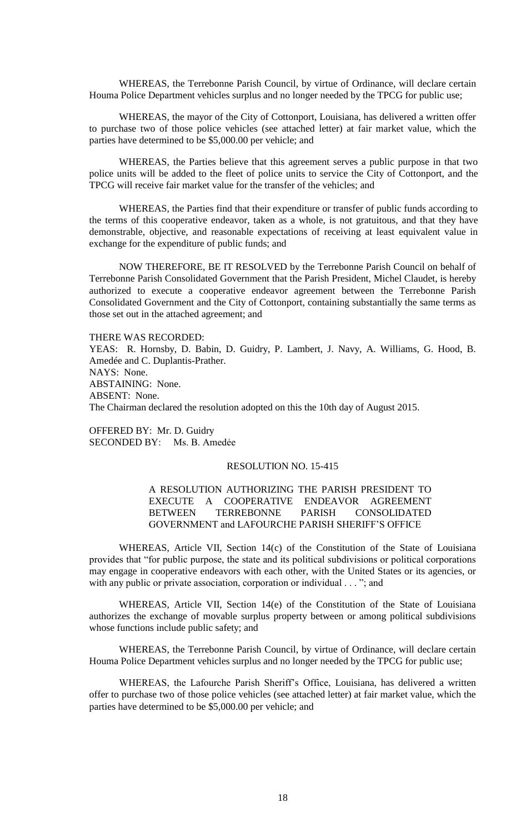WHEREAS, the Terrebonne Parish Council, by virtue of Ordinance, will declare certain Houma Police Department vehicles surplus and no longer needed by the TPCG for public use;

WHEREAS, the mayor of the City of Cottonport, Louisiana, has delivered a written offer to purchase two of those police vehicles (see attached letter) at fair market value, which the parties have determined to be \$5,000.00 per vehicle; and

WHEREAS, the Parties believe that this agreement serves a public purpose in that two police units will be added to the fleet of police units to service the City of Cottonport, and the TPCG will receive fair market value for the transfer of the vehicles; and

WHEREAS, the Parties find that their expenditure or transfer of public funds according to the terms of this cooperative endeavor, taken as a whole, is not gratuitous, and that they have demonstrable, objective, and reasonable expectations of receiving at least equivalent value in exchange for the expenditure of public funds; and

NOW THEREFORE, BE IT RESOLVED by the Terrebonne Parish Council on behalf of Terrebonne Parish Consolidated Government that the Parish President, Michel Claudet, is hereby authorized to execute a cooperative endeavor agreement between the Terrebonne Parish Consolidated Government and the City of Cottonport, containing substantially the same terms as those set out in the attached agreement; and

THERE WAS RECORDED:

YEAS: R. Hornsby, D. Babin, D. Guidry, P. Lambert, J. Navy, A. Williams, G. Hood, B. Amedée and C. Duplantis-Prather. NAYS: None. ABSTAINING: None. ABSENT: None. The Chairman declared the resolution adopted on this the 10th day of August 2015.

OFFERED BY: Mr. D. Guidry SECONDED BY: Ms. B. Amedẻe

## RESOLUTION NO. 15-415

# A RESOLUTION AUTHORIZING THE PARISH PRESIDENT TO EXECUTE A COOPERATIVE ENDEAVOR AGREEMENT BETWEEN TERREBONNE PARISH CONSOLIDATED GOVERNMENT and LAFOURCHE PARISH SHERIFF'S OFFICE

WHEREAS, Article VII, Section 14(c) of the Constitution of the State of Louisiana provides that "for public purpose, the state and its political subdivisions or political corporations may engage in cooperative endeavors with each other, with the United States or its agencies, or with any public or private association, corporation or individual . . . "; and

WHEREAS, Article VII, Section 14(e) of the Constitution of the State of Louisiana authorizes the exchange of movable surplus property between or among political subdivisions whose functions include public safety; and

WHEREAS, the Terrebonne Parish Council, by virtue of Ordinance, will declare certain Houma Police Department vehicles surplus and no longer needed by the TPCG for public use;

WHEREAS, the Lafourche Parish Sheriff's Office, Louisiana, has delivered a written offer to purchase two of those police vehicles (see attached letter) at fair market value, which the parties have determined to be \$5,000.00 per vehicle; and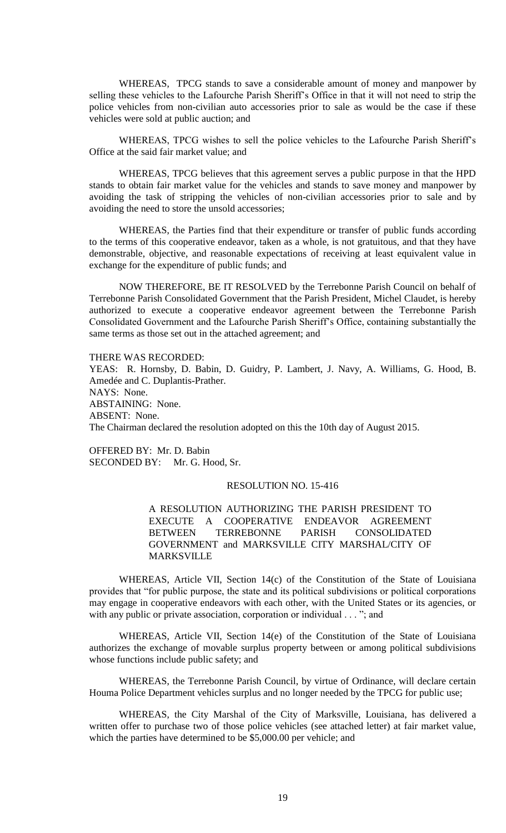WHEREAS, TPCG stands to save a considerable amount of money and manpower by selling these vehicles to the Lafourche Parish Sheriff's Office in that it will not need to strip the police vehicles from non-civilian auto accessories prior to sale as would be the case if these vehicles were sold at public auction; and

WHEREAS, TPCG wishes to sell the police vehicles to the Lafourche Parish Sheriff's Office at the said fair market value; and

WHEREAS, TPCG believes that this agreement serves a public purpose in that the HPD stands to obtain fair market value for the vehicles and stands to save money and manpower by avoiding the task of stripping the vehicles of non-civilian accessories prior to sale and by avoiding the need to store the unsold accessories;

WHEREAS, the Parties find that their expenditure or transfer of public funds according to the terms of this cooperative endeavor, taken as a whole, is not gratuitous, and that they have demonstrable, objective, and reasonable expectations of receiving at least equivalent value in exchange for the expenditure of public funds; and

NOW THEREFORE, BE IT RESOLVED by the Terrebonne Parish Council on behalf of Terrebonne Parish Consolidated Government that the Parish President, Michel Claudet, is hereby authorized to execute a cooperative endeavor agreement between the Terrebonne Parish Consolidated Government and the Lafourche Parish Sheriff's Office, containing substantially the same terms as those set out in the attached agreement; and

THERE WAS RECORDED: YEAS: R. Hornsby, D. Babin, D. Guidry, P. Lambert, J. Navy, A. Williams, G. Hood, B. Amedée and C. Duplantis-Prather. NAYS: None. ABSTAINING: None. ABSENT: None. The Chairman declared the resolution adopted on this the 10th day of August 2015.

OFFERED BY: Mr. D. Babin SECONDED BY: Mr. G. Hood, Sr.

### RESOLUTION NO. 15-416

A RESOLUTION AUTHORIZING THE PARISH PRESIDENT TO EXECUTE A COOPERATIVE ENDEAVOR AGREEMENT BETWEEN TERREBONNE PARISH CONSOLIDATED GOVERNMENT and MARKSVILLE CITY MARSHAL/CITY OF MARKSVILLE

WHEREAS, Article VII, Section 14(c) of the Constitution of the State of Louisiana provides that "for public purpose, the state and its political subdivisions or political corporations may engage in cooperative endeavors with each other, with the United States or its agencies, or with any public or private association, corporation or individual . . . "; and

WHEREAS, Article VII, Section 14(e) of the Constitution of the State of Louisiana authorizes the exchange of movable surplus property between or among political subdivisions whose functions include public safety; and

WHEREAS, the Terrebonne Parish Council, by virtue of Ordinance, will declare certain Houma Police Department vehicles surplus and no longer needed by the TPCG for public use;

WHEREAS, the City Marshal of the City of Marksville, Louisiana, has delivered a written offer to purchase two of those police vehicles (see attached letter) at fair market value, which the parties have determined to be \$5,000.00 per vehicle; and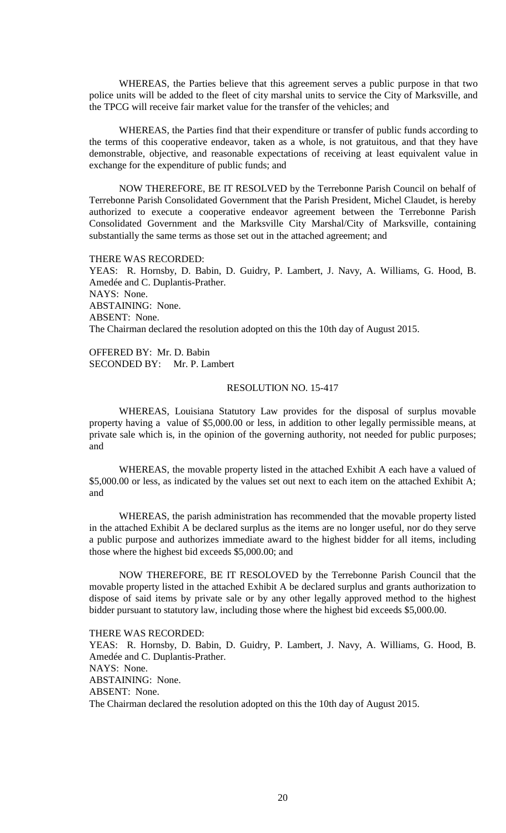WHEREAS, the Parties believe that this agreement serves a public purpose in that two police units will be added to the fleet of city marshal units to service the City of Marksville, and the TPCG will receive fair market value for the transfer of the vehicles; and

WHEREAS, the Parties find that their expenditure or transfer of public funds according to the terms of this cooperative endeavor, taken as a whole, is not gratuitous, and that they have demonstrable, objective, and reasonable expectations of receiving at least equivalent value in exchange for the expenditure of public funds; and

NOW THEREFORE, BE IT RESOLVED by the Terrebonne Parish Council on behalf of Terrebonne Parish Consolidated Government that the Parish President, Michel Claudet, is hereby authorized to execute a cooperative endeavor agreement between the Terrebonne Parish Consolidated Government and the Marksville City Marshal/City of Marksville, containing substantially the same terms as those set out in the attached agreement; and

THERE WAS RECORDED: YEAS: R. Hornsby, D. Babin, D. Guidry, P. Lambert, J. Navy, A. Williams, G. Hood, B. Amedée and C. Duplantis-Prather. NAYS: None. ABSTAINING: None. ABSENT: None. The Chairman declared the resolution adopted on this the 10th day of August 2015.

OFFERED BY: Mr. D. Babin SECONDED BY: Mr. P. Lambert

## RESOLUTION NO. 15-417

WHEREAS, Louisiana Statutory Law provides for the disposal of surplus movable property having a value of \$5,000.00 or less, in addition to other legally permissible means, at private sale which is, in the opinion of the governing authority, not needed for public purposes; and

WHEREAS, the movable property listed in the attached Exhibit A each have a valued of \$5,000.00 or less, as indicated by the values set out next to each item on the attached Exhibit A; and

WHEREAS, the parish administration has recommended that the movable property listed in the attached Exhibit A be declared surplus as the items are no longer useful, nor do they serve a public purpose and authorizes immediate award to the highest bidder for all items, including those where the highest bid exceeds \$5,000.00; and

NOW THEREFORE, BE IT RESOLOVED by the Terrebonne Parish Council that the movable property listed in the attached Exhibit A be declared surplus and grants authorization to dispose of said items by private sale or by any other legally approved method to the highest bidder pursuant to statutory law, including those where the highest bid exceeds \$5,000.00.

THERE WAS RECORDED:

YEAS: R. Hornsby, D. Babin, D. Guidry, P. Lambert, J. Navy, A. Williams, G. Hood, B. Amedée and C. Duplantis-Prather. NAYS: None.

ABSTAINING: None.

ABSENT: None.

The Chairman declared the resolution adopted on this the 10th day of August 2015.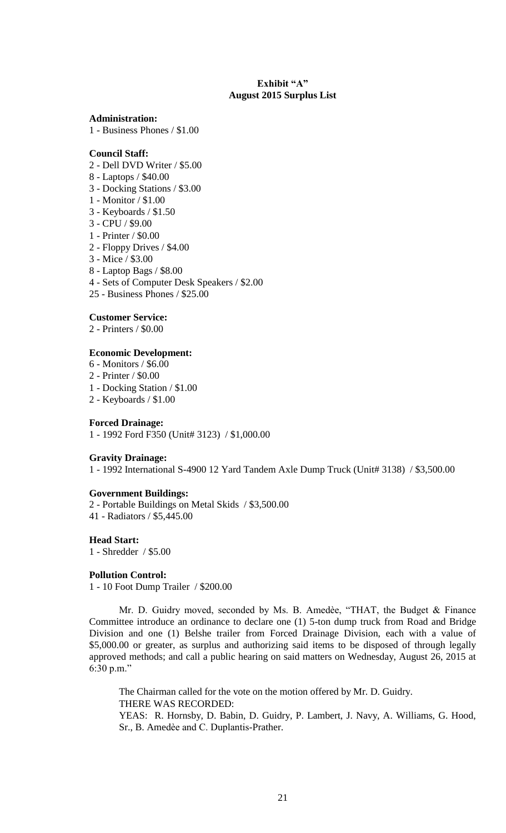# **Exhibit "A" August 2015 Surplus List**

**Administration:**

1 - Business Phones / \$1.00

# **Council Staff:**

- 2 Dell DVD Writer / \$5.00
- 8 Laptops / \$40.00
- 3 Docking Stations / \$3.00
- 1 Monitor / \$1.00
- 3 Keyboards / \$1.50
- 3 CPU / \$9.00
- 1 Printer / \$0.00
- 2 Floppy Drives / \$4.00
- 3 Mice / \$3.00
- 8 Laptop Bags / \$8.00
- 4 Sets of Computer Desk Speakers / \$2.00
- 25 Business Phones / \$25.00

### **Customer Service:**

2 - Printers / \$0.00

## **Economic Development:**

- 6 Monitors / \$6.00
- 2 Printer / \$0.00
- 1 Docking Station / \$1.00
- 2 Keyboards / \$1.00

## **Forced Drainage:**

1 - 1992 Ford F350 (Unit# 3123) / \$1,000.00

### **Gravity Drainage:**

1 - 1992 International S-4900 12 Yard Tandem Axle Dump Truck (Unit# 3138) / \$3,500.00

# **Government Buildings:**

2 - Portable Buildings on Metal Skids / \$3,500.00 41 - Radiators / \$5,445.00

### **Head Start:**

1 - Shredder / \$5.00

### **Pollution Control:**

1 - 10 Foot Dump Trailer / \$200.00

Mr. D. Guidry moved, seconded by Ms. B. Amedѐe, "THAT, the Budget & Finance Committee introduce an ordinance to declare one (1) 5-ton dump truck from Road and Bridge Division and one (1) Belshe trailer from Forced Drainage Division, each with a value of \$5,000.00 or greater, as surplus and authorizing said items to be disposed of through legally approved methods; and call a public hearing on said matters on Wednesday, August 26, 2015 at 6:30 p.m."

The Chairman called for the vote on the motion offered by Mr. D. Guidry. THERE WAS RECORDED: YEAS: R. Hornsby, D. Babin, D. Guidry, P. Lambert, J. Navy, A. Williams, G. Hood, Sr., B. Amedѐe and C. Duplantis-Prather.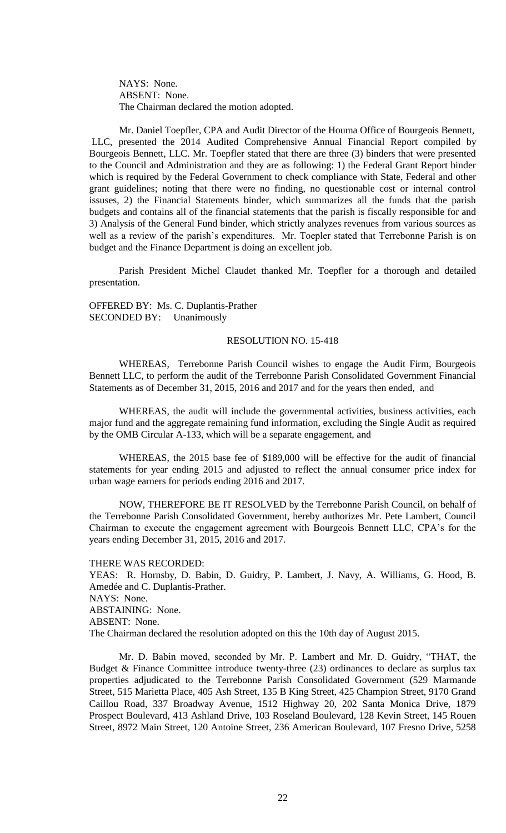NAYS: None. ABSENT: None. The Chairman declared the motion adopted.

Mr. Daniel Toepfler, CPA and Audit Director of the Houma Office of Bourgeois Bennett, LLC, presented the 2014 Audited Comprehensive Annual Financial Report compiled by Bourgeois Bennett, LLC. Mr. Toepfler stated that there are three (3) binders that were presented to the Council and Administration and they are as following: 1) the Federal Grant Report binder which is required by the Federal Government to check compliance with State, Federal and other grant guidelines; noting that there were no finding, no questionable cost or internal control issuses, 2) the Financial Statements binder, which summarizes all the funds that the parish budgets and contains all of the financial statements that the parish is fiscally responsible for and 3) Analysis of the General Fund binder, which strictly analyzes revenues from various sources as well as a review of the parish's expenditures. Mr. Toepler stated that Terrebonne Parish is on budget and the Finance Department is doing an excellent job.

Parish President Michel Claudet thanked Mr. Toepfler for a thorough and detailed presentation.

OFFERED BY: Ms. C. Duplantis-Prather SECONDED BY: Unanimously

#### RESOLUTION NO. 15-418

WHEREAS, Terrebonne Parish Council wishes to engage the Audit Firm, Bourgeois Bennett LLC, to perform the audit of the Terrebonne Parish Consolidated Government Financial Statements as of December 31, 2015, 2016 and 2017 and for the years then ended, and

WHEREAS, the audit will include the governmental activities, business activities, each major fund and the aggregate remaining fund information, excluding the Single Audit as required by the OMB Circular A-133, which will be a separate engagement, and

WHEREAS, the 2015 base fee of \$189,000 will be effective for the audit of financial statements for year ending 2015 and adjusted to reflect the annual consumer price index for urban wage earners for periods ending 2016 and 2017.

NOW, THEREFORE BE IT RESOLVED by the Terrebonne Parish Council, on behalf of the Terrebonne Parish Consolidated Government, hereby authorizes Mr. Pete Lambert, Council Chairman to execute the engagement agreement with Bourgeois Bennett LLC, CPA's for the years ending December 31, 2015, 2016 and 2017.

THERE WAS RECORDED:

YEAS: R. Hornsby, D. Babin, D. Guidry, P. Lambert, J. Navy, A. Williams, G. Hood, B. Amedée and C. Duplantis-Prather. NAYS: None. ABSTAINING: None. ABSENT: None. The Chairman declared the resolution adopted on this the 10th day of August 2015.

Mr. D. Babin moved, seconded by Mr. P. Lambert and Mr. D. Guidry, "THAT, the Budget & Finance Committee introduce twenty-three (23) ordinances to declare as surplus tax properties adjudicated to the Terrebonne Parish Consolidated Government (529 Marmande Street, 515 Marietta Place, 405 Ash Street, 135 B King Street, 425 Champion Street, 9170 Grand Caillou Road, 337 Broadway Avenue, 1512 Highway 20, 202 Santa Monica Drive, 1879 Prospect Boulevard, 413 Ashland Drive, 103 Roseland Boulevard, 128 Kevin Street, 145 Rouen Street, 8972 Main Street, 120 Antoine Street, 236 American Boulevard, 107 Fresno Drive, 5258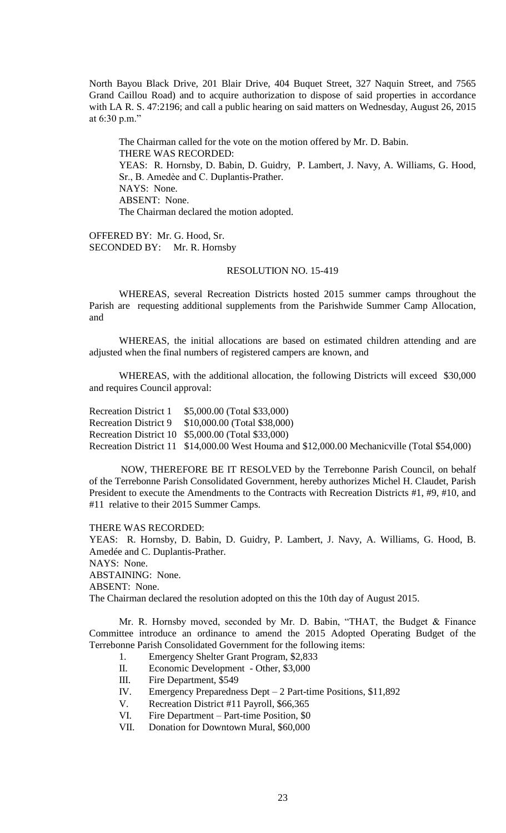North Bayou Black Drive, 201 Blair Drive, 404 Buquet Street, 327 Naquin Street, and 7565 Grand Caillou Road) and to acquire authorization to dispose of said properties in accordance with LA R. S. 47:2196; and call a public hearing on said matters on Wednesday, August 26, 2015 at 6:30 p.m."

The Chairman called for the vote on the motion offered by Mr. D. Babin. THERE WAS RECORDED: YEAS: R. Hornsby, D. Babin, D. Guidry, P. Lambert, J. Navy, A. Williams, G. Hood, Sr., B. Amedѐe and C. Duplantis-Prather. NAYS: None. ABSENT: None. The Chairman declared the motion adopted.

OFFERED BY: Mr. G. Hood, Sr. SECONDED BY: Mr. R. Hornsby

## RESOLUTION NO. 15-419

WHEREAS, several Recreation Districts hosted 2015 summer camps throughout the Parish are requesting additional supplements from the Parishwide Summer Camp Allocation, and

WHEREAS, the initial allocations are based on estimated children attending and are adjusted when the final numbers of registered campers are known, and

WHEREAS, with the additional allocation, the following Districts will exceed \$30,000 and requires Council approval:

Recreation District 1 \$5,000.00 (Total \$33,000) Recreation District 9 \$10,000.00 (Total \$38,000) Recreation District 10 \$5,000.00 (Total \$33,000) Recreation District 11 \$14,000.00 West Houma and \$12,000.00 Mechanicville (Total \$54,000)

NOW, THEREFORE BE IT RESOLVED by the Terrebonne Parish Council, on behalf of the Terrebonne Parish Consolidated Government, hereby authorizes Michel H. Claudet, Parish President to execute the Amendments to the Contracts with Recreation Districts #1, #9, #10, and #11 relative to their 2015 Summer Camps.

THERE WAS RECORDED:

YEAS: R. Hornsby, D. Babin, D. Guidry, P. Lambert, J. Navy, A. Williams, G. Hood, B. Amedée and C. Duplantis-Prather.

NAYS: None.

ABSTAINING: None.

ABSENT: None.

The Chairman declared the resolution adopted on this the 10th day of August 2015.

Mr. R. Hornsby moved, seconded by Mr. D. Babin, "THAT, the Budget & Finance Committee introduce an ordinance to amend the 2015 Adopted Operating Budget of the Terrebonne Parish Consolidated Government for the following items:

- 1. Emergency Shelter Grant Program, \$2,833
- II. Economic Development Other, \$3,000
- III. Fire Department, \$549
- IV. Emergency Preparedness Dept 2 Part-time Positions, \$11,892
- V. Recreation District #11 Payroll, \$66,365
- VI. Fire Department Part-time Position, \$0
- VII. Donation for Downtown Mural, \$60,000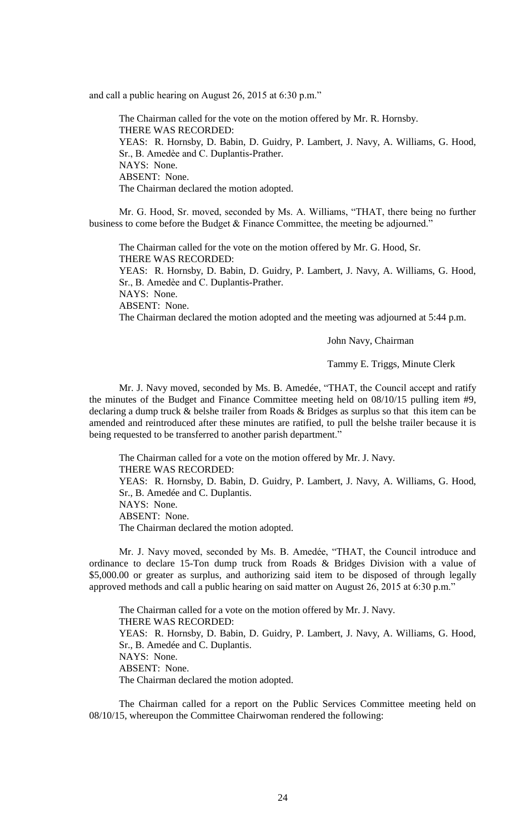and call a public hearing on August 26, 2015 at 6:30 p.m."

The Chairman called for the vote on the motion offered by Mr. R. Hornsby. THERE WAS RECORDED: YEAS: R. Hornsby, D. Babin, D. Guidry, P. Lambert, J. Navy, A. Williams, G. Hood, Sr., B. Amedѐe and C. Duplantis-Prather. NAYS: None. ABSENT: None. The Chairman declared the motion adopted.

Mr. G. Hood, Sr. moved, seconded by Ms. A. Williams, "THAT, there being no further business to come before the Budget & Finance Committee, the meeting be adjourned."

The Chairman called for the vote on the motion offered by Mr. G. Hood, Sr. THERE WAS RECORDED:

YEAS: R. Hornsby, D. Babin, D. Guidry, P. Lambert, J. Navy, A. Williams, G. Hood, Sr., B. Amedѐe and C. Duplantis-Prather.

NAYS: None.

ABSENT: None.

The Chairman declared the motion adopted and the meeting was adjourned at 5:44 p.m.

John Navy, Chairman

Tammy E. Triggs, Minute Clerk

Mr. J. Navy moved, seconded by Ms. B. Amedée, "THAT, the Council accept and ratify the minutes of the Budget and Finance Committee meeting held on 08/10/15 pulling item #9, declaring a dump truck & belshe trailer from Roads & Bridges as surplus so that this item can be amended and reintroduced after these minutes are ratified, to pull the belshe trailer because it is being requested to be transferred to another parish department."

The Chairman called for a vote on the motion offered by Mr. J. Navy. THERE WAS RECORDED: YEAS: R. Hornsby, D. Babin, D. Guidry, P. Lambert, J. Navy, A. Williams, G. Hood, Sr., B. Amedée and C. Duplantis. NAYS: None. ABSENT: None. The Chairman declared the motion adopted.

Mr. J. Navy moved, seconded by Ms. B. Amedée, "THAT, the Council introduce and ordinance to declare 15-Ton dump truck from Roads & Bridges Division with a value of \$5,000.00 or greater as surplus, and authorizing said item to be disposed of through legally approved methods and call a public hearing on said matter on August 26, 2015 at 6:30 p.m."

The Chairman called for a vote on the motion offered by Mr. J. Navy. THERE WAS RECORDED: YEAS: R. Hornsby, D. Babin, D. Guidry, P. Lambert, J. Navy, A. Williams, G. Hood, Sr., B. Amedée and C. Duplantis. NAYS: None. ABSENT: None. The Chairman declared the motion adopted.

The Chairman called for a report on the Public Services Committee meeting held on 08/10/15, whereupon the Committee Chairwoman rendered the following: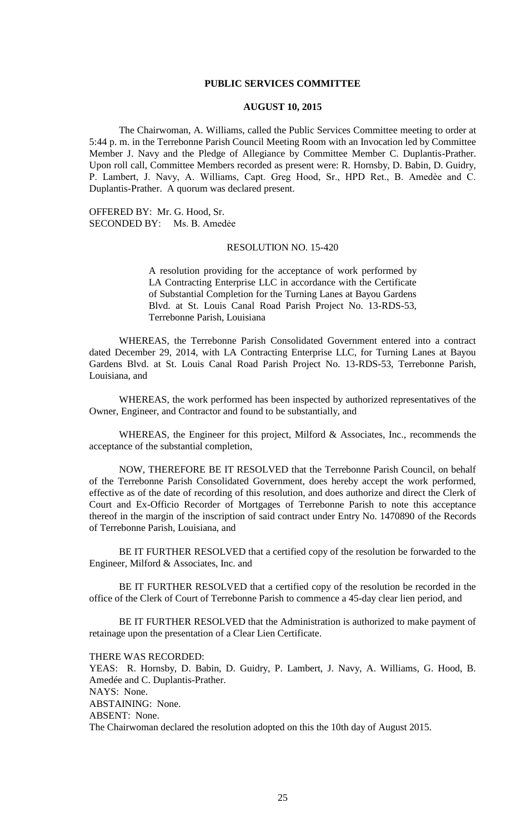### **PUBLIC SERVICES COMMITTEE**

### **AUGUST 10, 2015**

The Chairwoman, A. Williams, called the Public Services Committee meeting to order at 5:44 p. m. in the Terrebonne Parish Council Meeting Room with an Invocation led by Committee Member J. Navy and the Pledge of Allegiance by Committee Member C. Duplantis-Prather. Upon roll call, Committee Members recorded as present were: R. Hornsby, D. Babin, D. Guidry, P. Lambert, J. Navy, A. Williams, Capt. Greg Hood, Sr., HPD Ret., B. Amedèe and C. Duplantis-Prather. A quorum was declared present.

OFFERED BY: Mr. G. Hood, Sr. SECONDED BY: Ms. B. Amedée

#### RESOLUTION NO. 15-420

A resolution providing for the acceptance of work performed by LA Contracting Enterprise LLC in accordance with the Certificate of Substantial Completion for the Turning Lanes at Bayou Gardens Blvd. at St. Louis Canal Road Parish Project No. 13-RDS-53, Terrebonne Parish, Louisiana

WHEREAS, the Terrebonne Parish Consolidated Government entered into a contract dated December 29, 2014, with LA Contracting Enterprise LLC, for Turning Lanes at Bayou Gardens Blvd. at St. Louis Canal Road Parish Project No. 13-RDS-53, Terrebonne Parish, Louisiana, and

WHEREAS, the work performed has been inspected by authorized representatives of the Owner, Engineer, and Contractor and found to be substantially, and

WHEREAS, the Engineer for this project, Milford & Associates, Inc., recommends the acceptance of the substantial completion,

NOW, THEREFORE BE IT RESOLVED that the Terrebonne Parish Council, on behalf of the Terrebonne Parish Consolidated Government, does hereby accept the work performed, effective as of the date of recording of this resolution, and does authorize and direct the Clerk of Court and Ex-Officio Recorder of Mortgages of Terrebonne Parish to note this acceptance thereof in the margin of the inscription of said contract under Entry No. 1470890 of the Records of Terrebonne Parish, Louisiana, and

BE IT FURTHER RESOLVED that a certified copy of the resolution be forwarded to the Engineer, Milford & Associates, Inc. and

BE IT FURTHER RESOLVED that a certified copy of the resolution be recorded in the office of the Clerk of Court of Terrebonne Parish to commence a 45-day clear lien period, and

BE IT FURTHER RESOLVED that the Administration is authorized to make payment of retainage upon the presentation of a Clear Lien Certificate.

#### THERE WAS RECORDED:

YEAS: R. Hornsby, D. Babin, D. Guidry, P. Lambert, J. Navy, A. Williams, G. Hood, B. Amedée and C. Duplantis-Prather. NAYS: None. ABSTAINING: None. ABSENT: None. The Chairwoman declared the resolution adopted on this the 10th day of August 2015.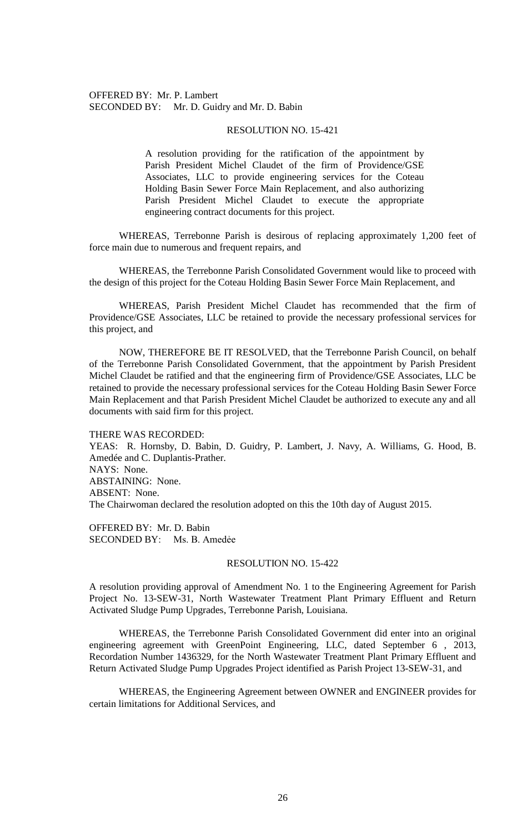### OFFERED BY: Mr. P. Lambert SECONDED BY: Mr. D. Guidry and Mr. D. Babin

#### RESOLUTION NO. 15-421

A resolution providing for the ratification of the appointment by Parish President Michel Claudet of the firm of Providence/GSE Associates, LLC to provide engineering services for the Coteau Holding Basin Sewer Force Main Replacement, and also authorizing Parish President Michel Claudet to execute the appropriate engineering contract documents for this project.

WHEREAS, Terrebonne Parish is desirous of replacing approximately 1,200 feet of force main due to numerous and frequent repairs, and

WHEREAS, the Terrebonne Parish Consolidated Government would like to proceed with the design of this project for the Coteau Holding Basin Sewer Force Main Replacement, and

WHEREAS, Parish President Michel Claudet has recommended that the firm of Providence/GSE Associates, LLC be retained to provide the necessary professional services for this project, and

NOW, THEREFORE BE IT RESOLVED, that the Terrebonne Parish Council, on behalf of the Terrebonne Parish Consolidated Government, that the appointment by Parish President Michel Claudet be ratified and that the engineering firm of Providence/GSE Associates, LLC be retained to provide the necessary professional services for the Coteau Holding Basin Sewer Force Main Replacement and that Parish President Michel Claudet be authorized to execute any and all documents with said firm for this project.

THERE WAS RECORDED:

YEAS: R. Hornsby, D. Babin, D. Guidry, P. Lambert, J. Navy, A. Williams, G. Hood, B. Amedée and C. Duplantis-Prather. NAYS: None. ABSTAINING: None. ABSENT: None. The Chairwoman declared the resolution adopted on this the 10th day of August 2015.

OFFERED BY: Mr. D. Babin SECONDED BY: Ms. B. Amedẻe

#### RESOLUTION NO. 15-422

A resolution providing approval of Amendment No. 1 to the Engineering Agreement for Parish Project No. 13-SEW-31, North Wastewater Treatment Plant Primary Effluent and Return Activated Sludge Pump Upgrades, Terrebonne Parish, Louisiana.

WHEREAS, the Terrebonne Parish Consolidated Government did enter into an original engineering agreement with GreenPoint Engineering, LLC, dated September 6 , 2013, Recordation Number 1436329, for the North Wastewater Treatment Plant Primary Effluent and Return Activated Sludge Pump Upgrades Project identified as Parish Project 13-SEW-31, and

WHEREAS, the Engineering Agreement between OWNER and ENGINEER provides for certain limitations for Additional Services, and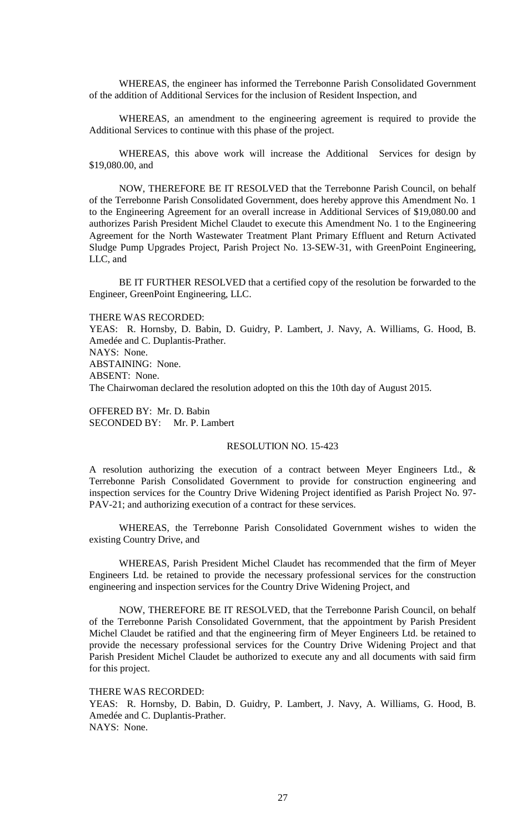WHEREAS, the engineer has informed the Terrebonne Parish Consolidated Government of the addition of Additional Services for the inclusion of Resident Inspection, and

WHEREAS, an amendment to the engineering agreement is required to provide the Additional Services to continue with this phase of the project.

WHEREAS, this above work will increase the Additional Services for design by \$19,080.00, and

NOW, THEREFORE BE IT RESOLVED that the Terrebonne Parish Council, on behalf of the Terrebonne Parish Consolidated Government, does hereby approve this Amendment No. 1 to the Engineering Agreement for an overall increase in Additional Services of \$19,080.00 and authorizes Parish President Michel Claudet to execute this Amendment No. 1 to the Engineering Agreement for the North Wastewater Treatment Plant Primary Effluent and Return Activated Sludge Pump Upgrades Project, Parish Project No. 13-SEW-31, with GreenPoint Engineering, LLC, and

BE IT FURTHER RESOLVED that a certified copy of the resolution be forwarded to the Engineer, GreenPoint Engineering, LLC.

THERE WAS RECORDED:

YEAS: R. Hornsby, D. Babin, D. Guidry, P. Lambert, J. Navy, A. Williams, G. Hood, B. Amedée and C. Duplantis-Prather. NAYS: None. ABSTAINING: None. ABSENT: None. The Chairwoman declared the resolution adopted on this the 10th day of August 2015.

OFFERED BY: Mr. D. Babin SECONDED BY: Mr. P. Lambert

#### RESOLUTION NO. 15-423

A resolution authorizing the execution of a contract between Meyer Engineers Ltd., & Terrebonne Parish Consolidated Government to provide for construction engineering and inspection services for the Country Drive Widening Project identified as Parish Project No. 97- PAV-21; and authorizing execution of a contract for these services.

WHEREAS, the Terrebonne Parish Consolidated Government wishes to widen the existing Country Drive, and

WHEREAS, Parish President Michel Claudet has recommended that the firm of Meyer Engineers Ltd. be retained to provide the necessary professional services for the construction engineering and inspection services for the Country Drive Widening Project, and

NOW, THEREFORE BE IT RESOLVED, that the Terrebonne Parish Council, on behalf of the Terrebonne Parish Consolidated Government, that the appointment by Parish President Michel Claudet be ratified and that the engineering firm of Meyer Engineers Ltd. be retained to provide the necessary professional services for the Country Drive Widening Project and that Parish President Michel Claudet be authorized to execute any and all documents with said firm for this project.

THERE WAS RECORDED:

YEAS: R. Hornsby, D. Babin, D. Guidry, P. Lambert, J. Navy, A. Williams, G. Hood, B. Amedée and C. Duplantis-Prather. NAYS: None.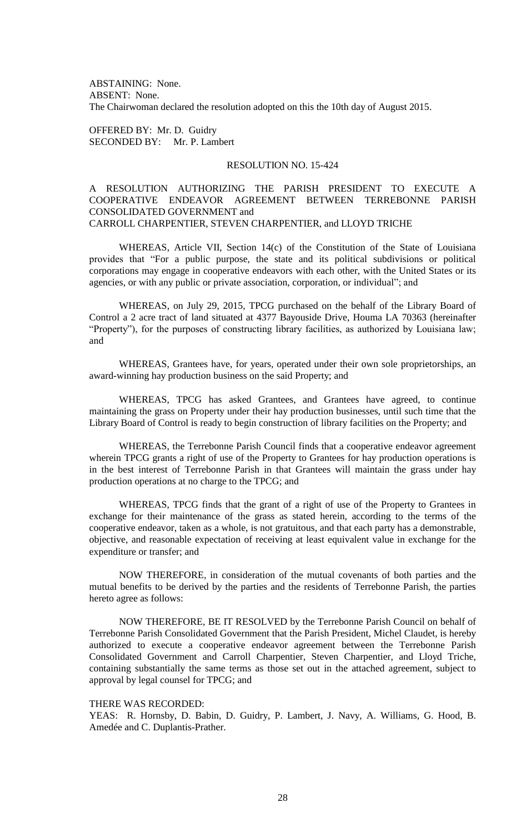ABSTAINING: None. ABSENT: None. The Chairwoman declared the resolution adopted on this the 10th day of August 2015.

OFFERED BY: Mr. D. Guidry SECONDED BY: Mr. P. Lambert

## RESOLUTION NO. 15-424

# A RESOLUTION AUTHORIZING THE PARISH PRESIDENT TO EXECUTE A COOPERATIVE ENDEAVOR AGREEMENT BETWEEN TERREBONNE PARISH CONSOLIDATED GOVERNMENT and CARROLL CHARPENTIER, STEVEN CHARPENTIER, and LLOYD TRICHE

WHEREAS, Article VII, Section 14(c) of the Constitution of the State of Louisiana provides that "For a public purpose, the state and its political subdivisions or political corporations may engage in cooperative endeavors with each other, with the United States or its agencies, or with any public or private association, corporation, or individual"; and

WHEREAS, on July 29, 2015, TPCG purchased on the behalf of the Library Board of Control a 2 acre tract of land situated at 4377 Bayouside Drive, Houma LA 70363 (hereinafter "Property"), for the purposes of constructing library facilities, as authorized by Louisiana law; and

WHEREAS, Grantees have, for years, operated under their own sole proprietorships, an award-winning hay production business on the said Property; and

WHEREAS, TPCG has asked Grantees, and Grantees have agreed, to continue maintaining the grass on Property under their hay production businesses, until such time that the Library Board of Control is ready to begin construction of library facilities on the Property; and

WHEREAS, the Terrebonne Parish Council finds that a cooperative endeavor agreement wherein TPCG grants a right of use of the Property to Grantees for hay production operations is in the best interest of Terrebonne Parish in that Grantees will maintain the grass under hay production operations at no charge to the TPCG; and

WHEREAS, TPCG finds that the grant of a right of use of the Property to Grantees in exchange for their maintenance of the grass as stated herein, according to the terms of the cooperative endeavor, taken as a whole, is not gratuitous, and that each party has a demonstrable, objective, and reasonable expectation of receiving at least equivalent value in exchange for the expenditure or transfer; and

NOW THEREFORE, in consideration of the mutual covenants of both parties and the mutual benefits to be derived by the parties and the residents of Terrebonne Parish, the parties hereto agree as follows:

NOW THEREFORE, BE IT RESOLVED by the Terrebonne Parish Council on behalf of Terrebonne Parish Consolidated Government that the Parish President, Michel Claudet, is hereby authorized to execute a cooperative endeavor agreement between the Terrebonne Parish Consolidated Government and Carroll Charpentier, Steven Charpentier, and Lloyd Triche, containing substantially the same terms as those set out in the attached agreement, subject to approval by legal counsel for TPCG; and

### THERE WAS RECORDED:

YEAS: R. Hornsby, D. Babin, D. Guidry, P. Lambert, J. Navy, A. Williams, G. Hood, B. Amedée and C. Duplantis-Prather.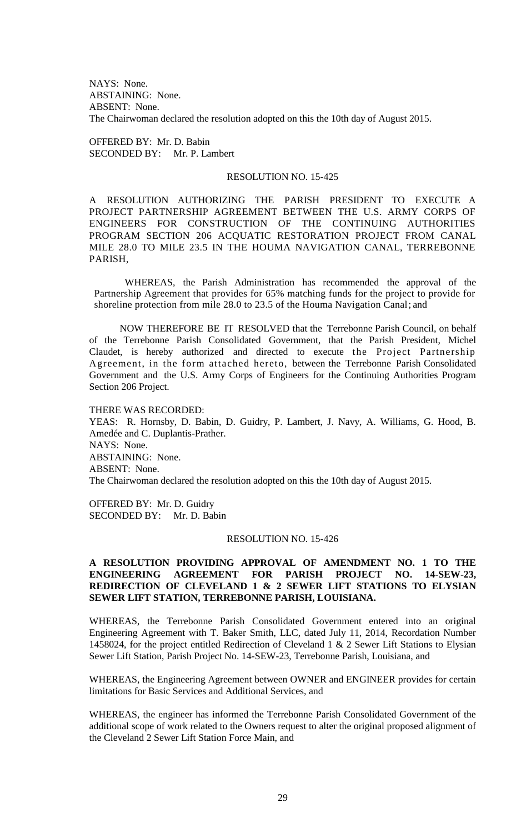NAYS: None. ABSTAINING: None. ABSENT: None. The Chairwoman declared the resolution adopted on this the 10th day of August 2015.

OFFERED BY: Mr. D. Babin SECONDED BY: Mr. P. Lambert

#### RESOLUTION NO. 15-425

A RESOLUTION AUTHORIZING THE PARISH PRESIDENT TO EXECUTE A PROJECT PARTNERSHIP AGREEMENT BETWEEN THE U.S. ARMY CORPS OF ENGINEERS FOR CONSTRUCTION OF THE CONTINUING AUTHORITIES PROGRAM SECTION 206 ACQUATIC RESTORATION PROJECT FROM CANAL MILE 28.0 TO MILE 23.5 IN THE HOUMA NAVIGATION CANAL, TERREBONNE PARISH,

WHEREAS, the Parish Administration has recommended the approval of the Partnership Agreement that provides for 65% matching funds for the project to provide for shoreline protection from mile 28.0 to 23.5 of the Houma Navigation Canal; and

NOW THEREFORE BE IT RESOLVED that the Terrebonne Parish Council, on behalf of the Terrebonne Parish Consolidated Government, that the Parish President, Michel Claudet, is hereby authorized and directed to execute the Project Partnership Agreement, in the form attached hereto, between the Terrebonne Parish Consolidated Government and the U.S. Army Corps of Engineers for the Continuing Authorities Program Section 206 Project.

#### THERE WAS RECORDED:

YEAS: R. Hornsby, D. Babin, D. Guidry, P. Lambert, J. Navy, A. Williams, G. Hood, B. Amedée and C. Duplantis-Prather. NAYS: None. ABSTAINING: None. ABSENT: None. The Chairwoman declared the resolution adopted on this the 10th day of August 2015.

OFFERED BY: Mr. D. Guidry SECONDED BY: Mr. D. Babin

### RESOLUTION NO. 15-426

## **A RESOLUTION PROVIDING APPROVAL OF AMENDMENT NO. 1 TO THE ENGINEERING AGREEMENT FOR PARISH PROJECT NO. 14-SEW-23, REDIRECTION OF CLEVELAND 1 & 2 SEWER LIFT STATIONS TO ELYSIAN SEWER LIFT STATION, TERREBONNE PARISH, LOUISIANA.**

WHEREAS, the Terrebonne Parish Consolidated Government entered into an original Engineering Agreement with T. Baker Smith, LLC, dated July 11, 2014, Recordation Number 1458024, for the project entitled Redirection of Cleveland 1 & 2 Sewer Lift Stations to Elysian Sewer Lift Station, Parish Project No. 14-SEW-23, Terrebonne Parish, Louisiana, and

WHEREAS, the Engineering Agreement between OWNER and ENGINEER provides for certain limitations for Basic Services and Additional Services, and

WHEREAS, the engineer has informed the Terrebonne Parish Consolidated Government of the additional scope of work related to the Owners request to alter the original proposed alignment of the Cleveland 2 Sewer Lift Station Force Main, and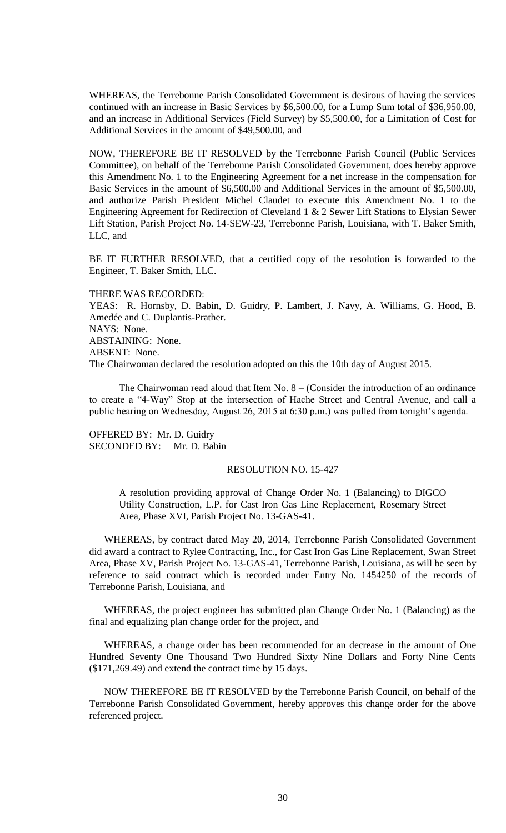WHEREAS, the Terrebonne Parish Consolidated Government is desirous of having the services continued with an increase in Basic Services by \$6,500.00, for a Lump Sum total of \$36,950.00, and an increase in Additional Services (Field Survey) by \$5,500.00, for a Limitation of Cost for Additional Services in the amount of \$49,500.00, and

NOW, THEREFORE BE IT RESOLVED by the Terrebonne Parish Council (Public Services Committee), on behalf of the Terrebonne Parish Consolidated Government, does hereby approve this Amendment No. 1 to the Engineering Agreement for a net increase in the compensation for Basic Services in the amount of \$6,500.00 and Additional Services in the amount of \$5,500.00, and authorize Parish President Michel Claudet to execute this Amendment No. 1 to the Engineering Agreement for Redirection of Cleveland 1 & 2 Sewer Lift Stations to Elysian Sewer Lift Station, Parish Project No. 14-SEW-23, Terrebonne Parish, Louisiana, with T. Baker Smith, LLC, and

BE IT FURTHER RESOLVED, that a certified copy of the resolution is forwarded to the Engineer, T. Baker Smith, LLC.

#### THERE WAS RECORDED:

YEAS: R. Hornsby, D. Babin, D. Guidry, P. Lambert, J. Navy, A. Williams, G. Hood, B. Amedée and C. Duplantis-Prather. NAYS: None. ABSTAINING: None. ABSENT: None. The Chairwoman declared the resolution adopted on this the 10th day of August 2015.

The Chairwoman read aloud that Item No.  $8 -$  (Consider the introduction of an ordinance to create a "4-Way" Stop at the intersection of Hache Street and Central Avenue, and call a public hearing on Wednesday, August 26, 2015 at 6:30 p.m.) was pulled from tonight's agenda.

OFFERED BY: Mr. D. Guidry SECONDED BY: Mr. D. Babin

### RESOLUTION NO. 15-427

A resolution providing approval of Change Order No. 1 (Balancing) to DIGCO Utility Construction, L.P. for Cast Iron Gas Line Replacement, Rosemary Street Area, Phase XVI, Parish Project No. 13-GAS-41.

WHEREAS, by contract dated May 20, 2014, Terrebonne Parish Consolidated Government did award a contract to Rylee Contracting, Inc., for Cast Iron Gas Line Replacement, Swan Street Area, Phase XV, Parish Project No. 13-GAS-41, Terrebonne Parish, Louisiana, as will be seen by reference to said contract which is recorded under Entry No. 1454250 of the records of Terrebonne Parish, Louisiana, and

WHEREAS, the project engineer has submitted plan Change Order No. 1 (Balancing) as the final and equalizing plan change order for the project, and

WHEREAS, a change order has been recommended for an decrease in the amount of One Hundred Seventy One Thousand Two Hundred Sixty Nine Dollars and Forty Nine Cents (\$171,269.49) and extend the contract time by 15 days.

NOW THEREFORE BE IT RESOLVED by the Terrebonne Parish Council, on behalf of the Terrebonne Parish Consolidated Government, hereby approves this change order for the above referenced project.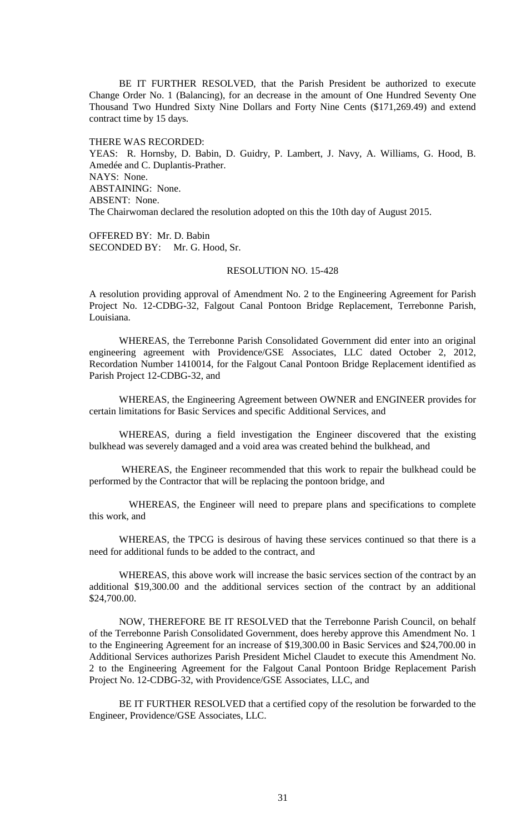BE IT FURTHER RESOLVED, that the Parish President be authorized to execute Change Order No. 1 (Balancing), for an decrease in the amount of One Hundred Seventy One Thousand Two Hundred Sixty Nine Dollars and Forty Nine Cents (\$171,269.49) and extend contract time by 15 days.

THERE WAS RECORDED: YEAS: R. Hornsby, D. Babin, D. Guidry, P. Lambert, J. Navy, A. Williams, G. Hood, B. Amedée and C. Duplantis-Prather. NAYS: None. ABSTAINING: None. ABSENT: None. The Chairwoman declared the resolution adopted on this the 10th day of August 2015.

OFFERED BY: Mr. D. Babin SECONDED BY: Mr. G. Hood, Sr.

# RESOLUTION NO. 15-428

A resolution providing approval of Amendment No. 2 to the Engineering Agreement for Parish Project No. 12-CDBG-32, Falgout Canal Pontoon Bridge Replacement, Terrebonne Parish, Louisiana.

WHEREAS, the Terrebonne Parish Consolidated Government did enter into an original engineering agreement with Providence/GSE Associates, LLC dated October 2, 2012, Recordation Number 1410014, for the Falgout Canal Pontoon Bridge Replacement identified as Parish Project 12-CDBG-32, and

WHEREAS, the Engineering Agreement between OWNER and ENGINEER provides for certain limitations for Basic Services and specific Additional Services, and

WHEREAS, during a field investigation the Engineer discovered that the existing bulkhead was severely damaged and a void area was created behind the bulkhead, and

WHEREAS, the Engineer recommended that this work to repair the bulkhead could be performed by the Contractor that will be replacing the pontoon bridge, and

 WHEREAS, the Engineer will need to prepare plans and specifications to complete this work, and

WHEREAS, the TPCG is desirous of having these services continued so that there is a need for additional funds to be added to the contract, and

WHEREAS, this above work will increase the basic services section of the contract by an additional \$19,300.00 and the additional services section of the contract by an additional \$24,700.00.

NOW, THEREFORE BE IT RESOLVED that the Terrebonne Parish Council, on behalf of the Terrebonne Parish Consolidated Government, does hereby approve this Amendment No. 1 to the Engineering Agreement for an increase of \$19,300.00 in Basic Services and \$24,700.00 in Additional Services authorizes Parish President Michel Claudet to execute this Amendment No. 2 to the Engineering Agreement for the Falgout Canal Pontoon Bridge Replacement Parish Project No. 12-CDBG-32, with Providence/GSE Associates, LLC, and

BE IT FURTHER RESOLVED that a certified copy of the resolution be forwarded to the Engineer, Providence/GSE Associates, LLC.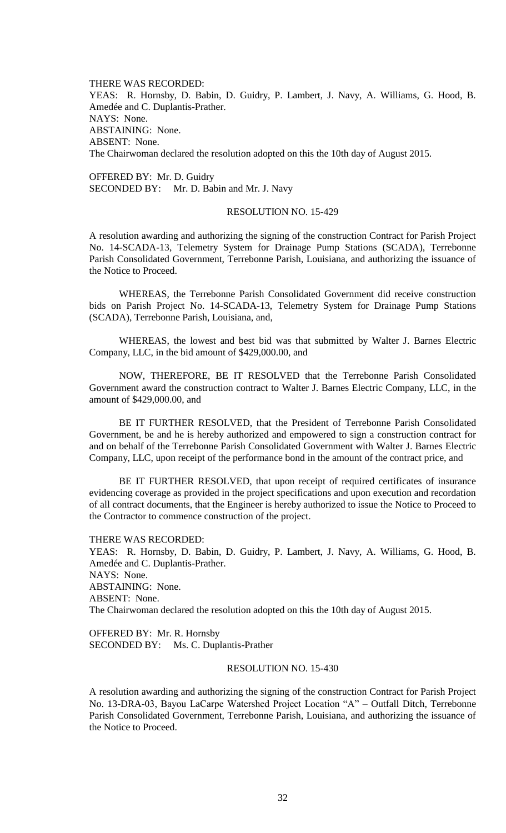THERE WAS RECORDED: YEAS: R. Hornsby, D. Babin, D. Guidry, P. Lambert, J. Navy, A. Williams, G. Hood, B. Amedée and C. Duplantis-Prather. NAYS: None. ABSTAINING: None. ABSENT: None. The Chairwoman declared the resolution adopted on this the 10th day of August 2015.

OFFERED BY: Mr. D. Guidry SECONDED BY: Mr. D. Babin and Mr. J. Navy

## RESOLUTION NO. 15-429

A resolution awarding and authorizing the signing of the construction Contract for Parish Project No. 14-SCADA-13, Telemetry System for Drainage Pump Stations (SCADA), Terrebonne Parish Consolidated Government, Terrebonne Parish, Louisiana, and authorizing the issuance of the Notice to Proceed.

WHEREAS, the Terrebonne Parish Consolidated Government did receive construction bids on Parish Project No. 14-SCADA-13, Telemetry System for Drainage Pump Stations (SCADA), Terrebonne Parish, Louisiana, and,

WHEREAS, the lowest and best bid was that submitted by Walter J. Barnes Electric Company, LLC, in the bid amount of \$429,000.00, and

NOW, THEREFORE, BE IT RESOLVED that the Terrebonne Parish Consolidated Government award the construction contract to Walter J. Barnes Electric Company, LLC, in the amount of \$429,000.00, and

BE IT FURTHER RESOLVED, that the President of Terrebonne Parish Consolidated Government, be and he is hereby authorized and empowered to sign a construction contract for and on behalf of the Terrebonne Parish Consolidated Government with Walter J. Barnes Electric Company, LLC, upon receipt of the performance bond in the amount of the contract price, and

BE IT FURTHER RESOLVED, that upon receipt of required certificates of insurance evidencing coverage as provided in the project specifications and upon execution and recordation of all contract documents, that the Engineer is hereby authorized to issue the Notice to Proceed to the Contractor to commence construction of the project.

THERE WAS RECORDED:

YEAS: R. Hornsby, D. Babin, D. Guidry, P. Lambert, J. Navy, A. Williams, G. Hood, B. Amedée and C. Duplantis-Prather. NAYS: None. ABSTAINING: None. ABSENT: None. The Chairwoman declared the resolution adopted on this the 10th day of August 2015.

OFFERED BY: Mr. R. Hornsby SECONDED BY: Ms. C. Duplantis-Prather

### RESOLUTION NO. 15-430

A resolution awarding and authorizing the signing of the construction Contract for Parish Project No. 13-DRA-03, Bayou LaCarpe Watershed Project Location "A" – Outfall Ditch, Terrebonne Parish Consolidated Government, Terrebonne Parish, Louisiana, and authorizing the issuance of the Notice to Proceed.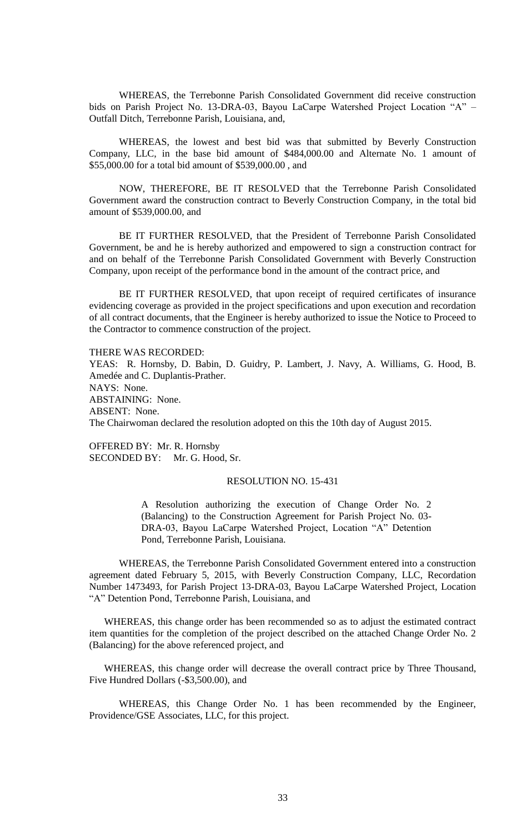WHEREAS, the Terrebonne Parish Consolidated Government did receive construction bids on Parish Project No. 13-DRA-03, Bayou LaCarpe Watershed Project Location "A" – Outfall Ditch, Terrebonne Parish, Louisiana, and,

WHEREAS, the lowest and best bid was that submitted by Beverly Construction Company, LLC, in the base bid amount of \$484,000.00 and Alternate No. 1 amount of \$55,000.00 for a total bid amount of \$539,000.00 , and

NOW, THEREFORE, BE IT RESOLVED that the Terrebonne Parish Consolidated Government award the construction contract to Beverly Construction Company, in the total bid amount of \$539,000.00, and

BE IT FURTHER RESOLVED, that the President of Terrebonne Parish Consolidated Government, be and he is hereby authorized and empowered to sign a construction contract for and on behalf of the Terrebonne Parish Consolidated Government with Beverly Construction Company, upon receipt of the performance bond in the amount of the contract price, and

BE IT FURTHER RESOLVED, that upon receipt of required certificates of insurance evidencing coverage as provided in the project specifications and upon execution and recordation of all contract documents, that the Engineer is hereby authorized to issue the Notice to Proceed to the Contractor to commence construction of the project.

THERE WAS RECORDED:

YEAS: R. Hornsby, D. Babin, D. Guidry, P. Lambert, J. Navy, A. Williams, G. Hood, B. Amedée and C. Duplantis-Prather. NAYS: None. ABSTAINING: None. ABSENT: None. The Chairwoman declared the resolution adopted on this the 10th day of August 2015.

OFFERED BY: Mr. R. Hornsby SECONDED BY: Mr. G. Hood, Sr.

### RESOLUTION NO. 15-431

A Resolution authorizing the execution of Change Order No. 2 (Balancing) to the Construction Agreement for Parish Project No. 03- DRA-03, Bayou LaCarpe Watershed Project, Location "A" Detention Pond, Terrebonne Parish, Louisiana.

WHEREAS, the Terrebonne Parish Consolidated Government entered into a construction agreement dated February 5, 2015, with Beverly Construction Company, LLC, Recordation Number 1473493, for Parish Project 13-DRA-03, Bayou LaCarpe Watershed Project, Location "A" Detention Pond, Terrebonne Parish, Louisiana, and

WHEREAS, this change order has been recommended so as to adjust the estimated contract item quantities for the completion of the project described on the attached Change Order No. 2 (Balancing) for the above referenced project, and

WHEREAS, this change order will decrease the overall contract price by Three Thousand, Five Hundred Dollars (-\$3,500.00), and

WHEREAS, this Change Order No. 1 has been recommended by the Engineer, Providence/GSE Associates, LLC, for this project.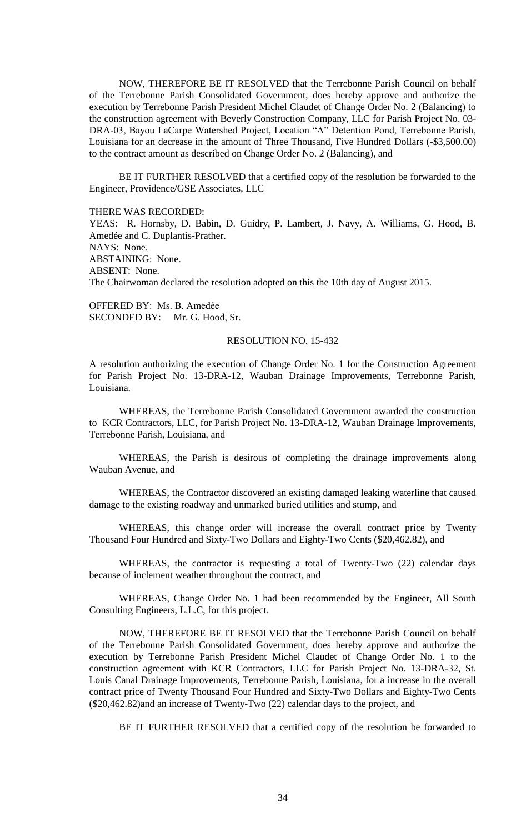NOW, THEREFORE BE IT RESOLVED that the Terrebonne Parish Council on behalf of the Terrebonne Parish Consolidated Government, does hereby approve and authorize the execution by Terrebonne Parish President Michel Claudet of Change Order No. 2 (Balancing) to the construction agreement with Beverly Construction Company, LLC for Parish Project No. 03- DRA-03, Bayou LaCarpe Watershed Project, Location "A" Detention Pond, Terrebonne Parish, Louisiana for an decrease in the amount of Three Thousand, Five Hundred Dollars (-\$3,500.00) to the contract amount as described on Change Order No. 2 (Balancing), and

BE IT FURTHER RESOLVED that a certified copy of the resolution be forwarded to the Engineer, Providence/GSE Associates, LLC

THERE WAS RECORDED:

YEAS: R. Hornsby, D. Babin, D. Guidry, P. Lambert, J. Navy, A. Williams, G. Hood, B. Amedée and C. Duplantis-Prather. NAYS: None. ABSTAINING: None. ABSENT: None. The Chairwoman declared the resolution adopted on this the 10th day of August 2015.

OFFERED BY: Ms. B. Amedẻe SECONDED BY: Mr. G. Hood, Sr.

### RESOLUTION NO. 15-432

A resolution authorizing the execution of Change Order No. 1 for the Construction Agreement for Parish Project No. 13-DRA-12, Wauban Drainage Improvements, Terrebonne Parish, Louisiana.

WHEREAS, the Terrebonne Parish Consolidated Government awarded the construction to KCR Contractors, LLC, for Parish Project No. 13-DRA-12, Wauban Drainage Improvements, Terrebonne Parish, Louisiana, and

WHEREAS, the Parish is desirous of completing the drainage improvements along Wauban Avenue, and

WHEREAS, the Contractor discovered an existing damaged leaking waterline that caused damage to the existing roadway and unmarked buried utilities and stump, and

WHEREAS, this change order will increase the overall contract price by Twenty Thousand Four Hundred and Sixty-Two Dollars and Eighty-Two Cents (\$20,462.82), and

WHEREAS, the contractor is requesting a total of Twenty-Two (22) calendar days because of inclement weather throughout the contract, and

WHEREAS, Change Order No. 1 had been recommended by the Engineer, All South Consulting Engineers, L.L.C, for this project.

NOW, THEREFORE BE IT RESOLVED that the Terrebonne Parish Council on behalf of the Terrebonne Parish Consolidated Government, does hereby approve and authorize the execution by Terrebonne Parish President Michel Claudet of Change Order No. 1 to the construction agreement with KCR Contractors, LLC for Parish Project No. 13-DRA-32, St. Louis Canal Drainage Improvements, Terrebonne Parish, Louisiana, for a increase in the overall contract price of Twenty Thousand Four Hundred and Sixty-Two Dollars and Eighty-Two Cents (\$20,462.82)and an increase of Twenty-Two (22) calendar days to the project, and

BE IT FURTHER RESOLVED that a certified copy of the resolution be forwarded to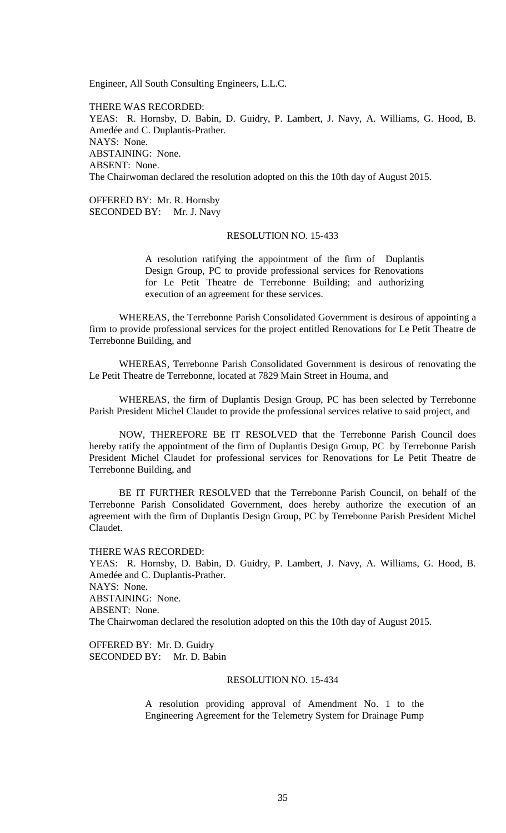Engineer, All South Consulting Engineers, L.L.C.

THERE WAS RECORDED: YEAS: R. Hornsby, D. Babin, D. Guidry, P. Lambert, J. Navy, A. Williams, G. Hood, B. Amedée and C. Duplantis-Prather. NAYS: None. ABSTAINING: None. ABSENT: None. The Chairwoman declared the resolution adopted on this the 10th day of August 2015.

OFFERED BY: Mr. R. Hornsby SECONDED BY: Mr. J. Navy

### RESOLUTION NO. 15-433

A resolution ratifying the appointment of the firm of Duplantis Design Group, PC to provide professional services for Renovations for Le Petit Theatre de Terrebonne Building; and authorizing execution of an agreement for these services.

WHEREAS, the Terrebonne Parish Consolidated Government is desirous of appointing a firm to provide professional services for the project entitled Renovations for Le Petit Theatre de Terrebonne Building, and

WHEREAS, Terrebonne Parish Consolidated Government is desirous of renovating the Le Petit Theatre de Terrebonne, located at 7829 Main Street in Houma, and

WHEREAS, the firm of Duplantis Design Group, PC has been selected by Terrebonne Parish President Michel Claudet to provide the professional services relative to said project, and

NOW, THEREFORE BE IT RESOLVED that the Terrebonne Parish Council does hereby ratify the appointment of the firm of Duplantis Design Group, PC by Terrebonne Parish President Michel Claudet for professional services for Renovations for Le Petit Theatre de Terrebonne Building, and

BE IT FURTHER RESOLVED that the Terrebonne Parish Council, on behalf of the Terrebonne Parish Consolidated Government, does hereby authorize the execution of an agreement with the firm of Duplantis Design Group, PC by Terrebonne Parish President Michel Claudet.

THERE WAS RECORDED: YEAS: R. Hornsby, D. Babin, D. Guidry, P. Lambert, J. Navy, A. Williams, G. Hood, B. Amedée and C. Duplantis-Prather. NAYS: None. ABSTAINING: None. ABSENT: None. The Chairwoman declared the resolution adopted on this the 10th day of August 2015.

OFFERED BY: Mr. D. Guidry SECONDED BY: Mr. D. Babin

### RESOLUTION NO. 15-434

A resolution providing approval of Amendment No. 1 to the Engineering Agreement for the Telemetry System for Drainage Pump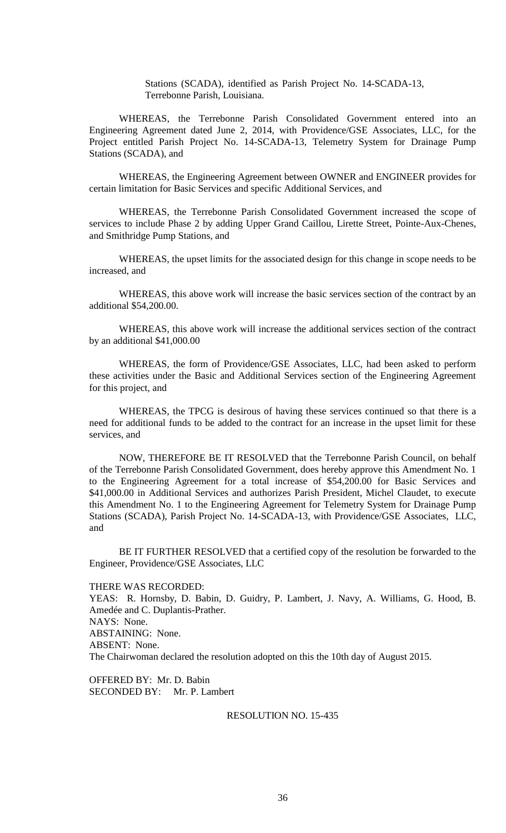Stations (SCADA), identified as Parish Project No. 14-SCADA-13, Terrebonne Parish, Louisiana.

WHEREAS, the Terrebonne Parish Consolidated Government entered into an Engineering Agreement dated June 2, 2014, with Providence/GSE Associates, LLC, for the Project entitled Parish Project No. 14-SCADA-13, Telemetry System for Drainage Pump Stations (SCADA), and

WHEREAS, the Engineering Agreement between OWNER and ENGINEER provides for certain limitation for Basic Services and specific Additional Services, and

WHEREAS, the Terrebonne Parish Consolidated Government increased the scope of services to include Phase 2 by adding Upper Grand Caillou, Lirette Street, Pointe-Aux-Chenes, and Smithridge Pump Stations, and

WHEREAS, the upset limits for the associated design for this change in scope needs to be increased, and

WHEREAS, this above work will increase the basic services section of the contract by an additional \$54,200.00.

WHEREAS, this above work will increase the additional services section of the contract by an additional \$41,000.00

WHEREAS, the form of Providence/GSE Associates, LLC, had been asked to perform these activities under the Basic and Additional Services section of the Engineering Agreement for this project, and

WHEREAS, the TPCG is desirous of having these services continued so that there is a need for additional funds to be added to the contract for an increase in the upset limit for these services, and

NOW, THEREFORE BE IT RESOLVED that the Terrebonne Parish Council, on behalf of the Terrebonne Parish Consolidated Government, does hereby approve this Amendment No. 1 to the Engineering Agreement for a total increase of \$54,200.00 for Basic Services and \$41,000.00 in Additional Services and authorizes Parish President, Michel Claudet, to execute this Amendment No. 1 to the Engineering Agreement for Telemetry System for Drainage Pump Stations (SCADA), Parish Project No. 14-SCADA-13, with Providence/GSE Associates, LLC, and

BE IT FURTHER RESOLVED that a certified copy of the resolution be forwarded to the Engineer, Providence/GSE Associates, LLC

THERE WAS RECORDED: YEAS: R. Hornsby, D. Babin, D. Guidry, P. Lambert, J. Navy, A. Williams, G. Hood, B. Amedée and C. Duplantis-Prather. NAYS: None. ABSTAINING: None. ABSENT: None. The Chairwoman declared the resolution adopted on this the 10th day of August 2015.

OFFERED BY: Mr. D. Babin SECONDED BY: Mr. P. Lambert

# RESOLUTION NO. 15-435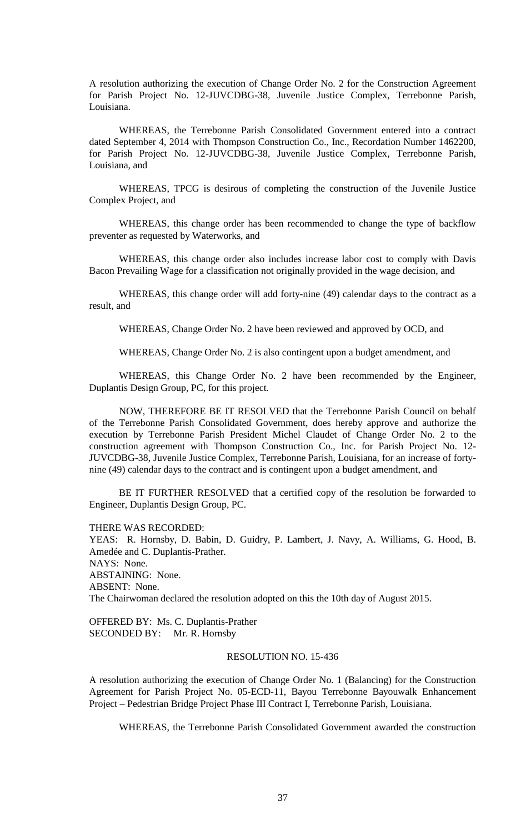A resolution authorizing the execution of Change Order No. 2 for the Construction Agreement for Parish Project No. 12-JUVCDBG-38, Juvenile Justice Complex, Terrebonne Parish, Louisiana.

WHEREAS, the Terrebonne Parish Consolidated Government entered into a contract dated September 4, 2014 with Thompson Construction Co., Inc., Recordation Number 1462200, for Parish Project No. 12-JUVCDBG-38, Juvenile Justice Complex, Terrebonne Parish, Louisiana, and

WHEREAS, TPCG is desirous of completing the construction of the Juvenile Justice Complex Project, and

WHEREAS, this change order has been recommended to change the type of backflow preventer as requested by Waterworks, and

WHEREAS, this change order also includes increase labor cost to comply with Davis Bacon Prevailing Wage for a classification not originally provided in the wage decision, and

WHEREAS, this change order will add forty-nine (49) calendar days to the contract as a result, and

WHEREAS, Change Order No. 2 have been reviewed and approved by OCD, and

WHEREAS, Change Order No. 2 is also contingent upon a budget amendment, and

WHEREAS, this Change Order No. 2 have been recommended by the Engineer, Duplantis Design Group, PC, for this project.

NOW, THEREFORE BE IT RESOLVED that the Terrebonne Parish Council on behalf of the Terrebonne Parish Consolidated Government, does hereby approve and authorize the execution by Terrebonne Parish President Michel Claudet of Change Order No. 2 to the construction agreement with Thompson Construction Co., Inc. for Parish Project No. 12- JUVCDBG-38, Juvenile Justice Complex, Terrebonne Parish, Louisiana, for an increase of fortynine (49) calendar days to the contract and is contingent upon a budget amendment, and

BE IT FURTHER RESOLVED that a certified copy of the resolution be forwarded to Engineer, Duplantis Design Group, PC.

THERE WAS RECORDED:

YEAS: R. Hornsby, D. Babin, D. Guidry, P. Lambert, J. Navy, A. Williams, G. Hood, B. Amedée and C. Duplantis-Prather. NAYS: None. ABSTAINING: None. ABSENT: None. The Chairwoman declared the resolution adopted on this the 10th day of August 2015.

OFFERED BY: Ms. C. Duplantis-Prather SECONDED BY: Mr. R. Hornsby

## RESOLUTION NO. 15-436

A resolution authorizing the execution of Change Order No. 1 (Balancing) for the Construction Agreement for Parish Project No. 05-ECD-11, Bayou Terrebonne Bayouwalk Enhancement Project – Pedestrian Bridge Project Phase III Contract I, Terrebonne Parish, Louisiana.

WHEREAS, the Terrebonne Parish Consolidated Government awarded the construction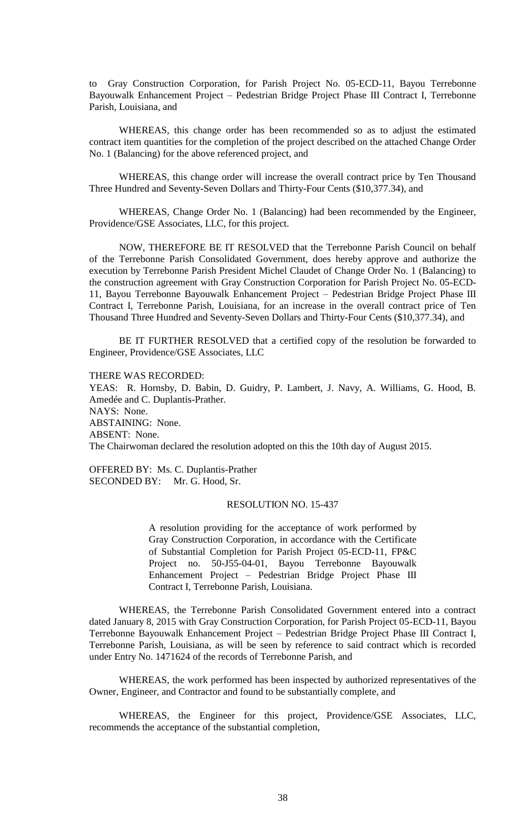to Gray Construction Corporation, for Parish Project No. 05-ECD-11, Bayou Terrebonne Bayouwalk Enhancement Project – Pedestrian Bridge Project Phase III Contract I, Terrebonne Parish, Louisiana, and

WHEREAS, this change order has been recommended so as to adjust the estimated contract item quantities for the completion of the project described on the attached Change Order No. 1 (Balancing) for the above referenced project, and

WHEREAS, this change order will increase the overall contract price by Ten Thousand Three Hundred and Seventy-Seven Dollars and Thirty-Four Cents (\$10,377.34), and

WHEREAS, Change Order No. 1 (Balancing) had been recommended by the Engineer, Providence/GSE Associates, LLC, for this project.

NOW, THEREFORE BE IT RESOLVED that the Terrebonne Parish Council on behalf of the Terrebonne Parish Consolidated Government, does hereby approve and authorize the execution by Terrebonne Parish President Michel Claudet of Change Order No. 1 (Balancing) to the construction agreement with Gray Construction Corporation for Parish Project No. 05-ECD-11, Bayou Terrebonne Bayouwalk Enhancement Project – Pedestrian Bridge Project Phase III Contract I, Terrebonne Parish, Louisiana, for an increase in the overall contract price of Ten Thousand Three Hundred and Seventy-Seven Dollars and Thirty-Four Cents (\$10,377.34), and

BE IT FURTHER RESOLVED that a certified copy of the resolution be forwarded to Engineer, Providence/GSE Associates, LLC

THERE WAS RECORDED:

YEAS: R. Hornsby, D. Babin, D. Guidry, P. Lambert, J. Navy, A. Williams, G. Hood, B. Amedée and C. Duplantis-Prather. NAYS: None. ABSTAINING: None. ABSENT: None. The Chairwoman declared the resolution adopted on this the 10th day of August 2015.

OFFERED BY: Ms. C. Duplantis-Prather SECONDED BY: Mr. G. Hood, Sr.

## RESOLUTION NO. 15-437

A resolution providing for the acceptance of work performed by Gray Construction Corporation, in accordance with the Certificate of Substantial Completion for Parish Project 05-ECD-11, FP&C Project no. 50-J55-04-01, Bayou Terrebonne Bayouwalk Enhancement Project – Pedestrian Bridge Project Phase III Contract I, Terrebonne Parish, Louisiana.

WHEREAS, the Terrebonne Parish Consolidated Government entered into a contract dated January 8, 2015 with Gray Construction Corporation, for Parish Project 05-ECD-11, Bayou Terrebonne Bayouwalk Enhancement Project – Pedestrian Bridge Project Phase III Contract I, Terrebonne Parish, Louisiana, as will be seen by reference to said contract which is recorded under Entry No. 1471624 of the records of Terrebonne Parish, and

WHEREAS, the work performed has been inspected by authorized representatives of the Owner, Engineer, and Contractor and found to be substantially complete, and

WHEREAS, the Engineer for this project, Providence/GSE Associates, LLC, recommends the acceptance of the substantial completion,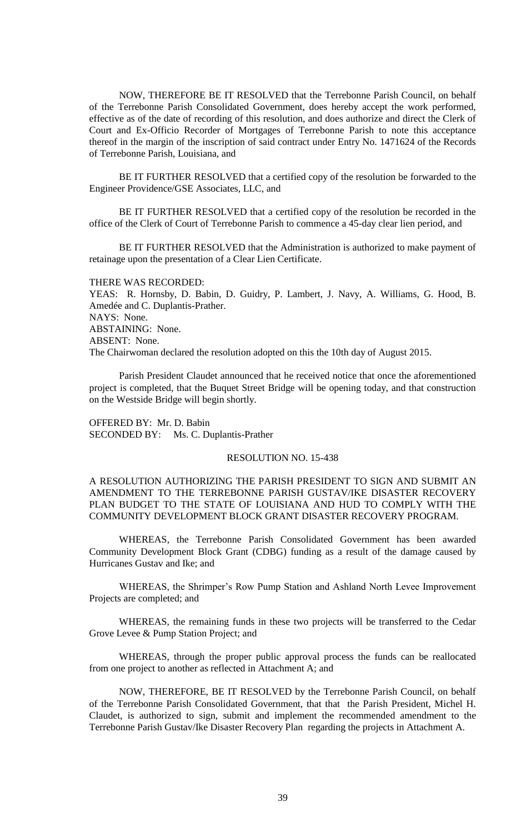NOW, THEREFORE BE IT RESOLVED that the Terrebonne Parish Council, on behalf of the Terrebonne Parish Consolidated Government, does hereby accept the work performed, effective as of the date of recording of this resolution, and does authorize and direct the Clerk of Court and Ex-Officio Recorder of Mortgages of Terrebonne Parish to note this acceptance thereof in the margin of the inscription of said contract under Entry No. 1471624 of the Records of Terrebonne Parish, Louisiana, and

BE IT FURTHER RESOLVED that a certified copy of the resolution be forwarded to the Engineer Providence/GSE Associates, LLC, and

BE IT FURTHER RESOLVED that a certified copy of the resolution be recorded in the office of the Clerk of Court of Terrebonne Parish to commence a 45-day clear lien period, and

BE IT FURTHER RESOLVED that the Administration is authorized to make payment of retainage upon the presentation of a Clear Lien Certificate.

THERE WAS RECORDED:

YEAS: R. Hornsby, D. Babin, D. Guidry, P. Lambert, J. Navy, A. Williams, G. Hood, B. Amedée and C. Duplantis-Prather. NAYS: None. ABSTAINING: None. ABSENT: None. The Chairwoman declared the resolution adopted on this the 10th day of August 2015.

Parish President Claudet announced that he received notice that once the aforementioned project is completed, that the Buquet Street Bridge will be opening today, and that construction on the Westside Bridge will begin shortly.

OFFERED BY: Mr. D. Babin SECONDED BY: Ms. C. Duplantis-Prather

#### RESOLUTION NO. 15-438

A RESOLUTION AUTHORIZING THE PARISH PRESIDENT TO SIGN AND SUBMIT AN AMENDMENT TO THE TERREBONNE PARISH GUSTAV/IKE DISASTER RECOVERY PLAN BUDGET TO THE STATE OF LOUISIANA AND HUD TO COMPLY WITH THE COMMUNITY DEVELOPMENT BLOCK GRANT DISASTER RECOVERY PROGRAM.

WHEREAS, the Terrebonne Parish Consolidated Government has been awarded Community Development Block Grant (CDBG) funding as a result of the damage caused by Hurricanes Gustav and Ike; and

WHEREAS, the Shrimper's Row Pump Station and Ashland North Levee Improvement Projects are completed; and

WHEREAS, the remaining funds in these two projects will be transferred to the Cedar Grove Levee & Pump Station Project; and

WHEREAS, through the proper public approval process the funds can be reallocated from one project to another as reflected in Attachment A; and

NOW, THEREFORE, BE IT RESOLVED by the Terrebonne Parish Council, on behalf of the Terrebonne Parish Consolidated Government, that that the Parish President, Michel H. Claudet, is authorized to sign, submit and implement the recommended amendment to the Terrebonne Parish Gustav/Ike Disaster Recovery Plan regarding the projects in Attachment A.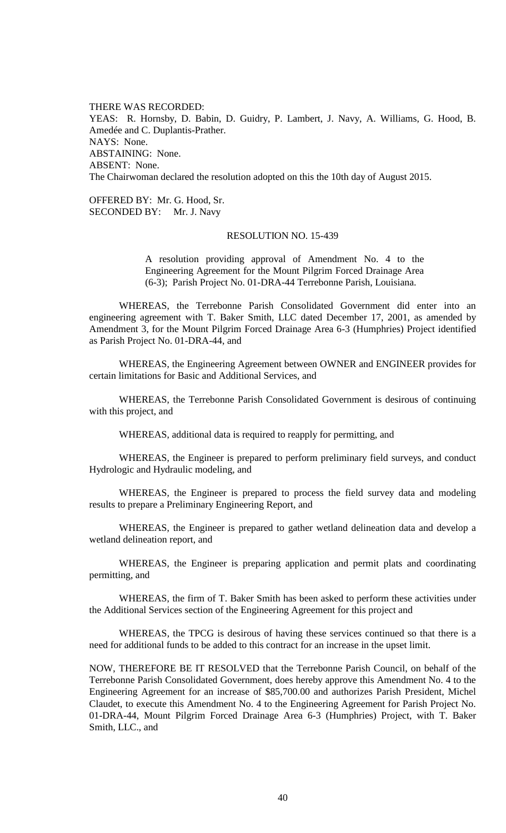THERE WAS RECORDED: YEAS: R. Hornsby, D. Babin, D. Guidry, P. Lambert, J. Navy, A. Williams, G. Hood, B. Amedée and C. Duplantis-Prather. NAYS: None. ABSTAINING: None. ABSENT: None. The Chairwoman declared the resolution adopted on this the 10th day of August 2015.

OFFERED BY: Mr. G. Hood, Sr. SECONDED BY: Mr. J. Navy

### RESOLUTION NO. 15-439

A resolution providing approval of Amendment No. 4 to the Engineering Agreement for the Mount Pilgrim Forced Drainage Area (6-3); Parish Project No. 01-DRA-44 Terrebonne Parish, Louisiana.

WHEREAS, the Terrebonne Parish Consolidated Government did enter into an engineering agreement with T. Baker Smith, LLC dated December 17, 2001, as amended by Amendment 3, for the Mount Pilgrim Forced Drainage Area 6-3 (Humphries) Project identified as Parish Project No. 01-DRA-44, and

WHEREAS, the Engineering Agreement between OWNER and ENGINEER provides for certain limitations for Basic and Additional Services, and

WHEREAS, the Terrebonne Parish Consolidated Government is desirous of continuing with this project, and

WHEREAS, additional data is required to reapply for permitting, and

WHEREAS, the Engineer is prepared to perform preliminary field surveys, and conduct Hydrologic and Hydraulic modeling, and

WHEREAS, the Engineer is prepared to process the field survey data and modeling results to prepare a Preliminary Engineering Report, and

WHEREAS, the Engineer is prepared to gather wetland delineation data and develop a wetland delineation report, and

WHEREAS, the Engineer is preparing application and permit plats and coordinating permitting, and

WHEREAS, the firm of T. Baker Smith has been asked to perform these activities under the Additional Services section of the Engineering Agreement for this project and

WHEREAS, the TPCG is desirous of having these services continued so that there is a need for additional funds to be added to this contract for an increase in the upset limit.

NOW, THEREFORE BE IT RESOLVED that the Terrebonne Parish Council, on behalf of the Terrebonne Parish Consolidated Government, does hereby approve this Amendment No. 4 to the Engineering Agreement for an increase of \$85,700.00 and authorizes Parish President, Michel Claudet, to execute this Amendment No. 4 to the Engineering Agreement for Parish Project No. 01-DRA-44, Mount Pilgrim Forced Drainage Area 6-3 (Humphries) Project, with T. Baker Smith, LLC., and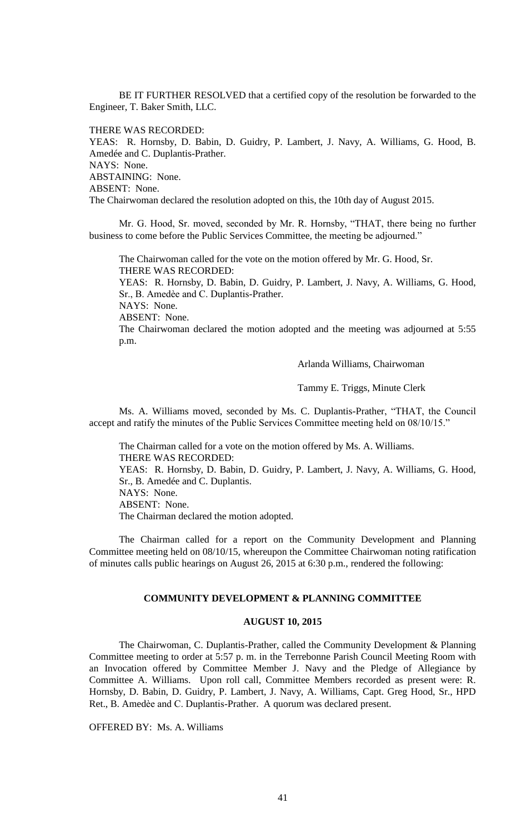BE IT FURTHER RESOLVED that a certified copy of the resolution be forwarded to the Engineer, T. Baker Smith, LLC.

THERE WAS RECORDED:

YEAS: R. Hornsby, D. Babin, D. Guidry, P. Lambert, J. Navy, A. Williams, G. Hood, B. Amedée and C. Duplantis-Prather. NAYS: None. ABSTAINING: None. ABSENT: None. The Chairwoman declared the resolution adopted on this, the 10th day of August 2015.

Mr. G. Hood, Sr. moved, seconded by Mr. R. Hornsby, "THAT, there being no further business to come before the Public Services Committee, the meeting be adjourned."

The Chairwoman called for the vote on the motion offered by Mr. G. Hood, Sr. THERE WAS RECORDED: YEAS: R. Hornsby, D. Babin, D. Guidry, P. Lambert, J. Navy, A. Williams, G. Hood, Sr., B. Amedèe and C. Duplantis-Prather. NAYS: None. ABSENT: None. The Chairwoman declared the motion adopted and the meeting was adjourned at 5:55 p.m.

Arlanda Williams, Chairwoman

Tammy E. Triggs, Minute Clerk

Ms. A. Williams moved, seconded by Ms. C. Duplantis-Prather, "THAT, the Council accept and ratify the minutes of the Public Services Committee meeting held on 08/10/15."

The Chairman called for a vote on the motion offered by Ms. A. Williams. THERE WAS RECORDED: YEAS: R. Hornsby, D. Babin, D. Guidry, P. Lambert, J. Navy, A. Williams, G. Hood, Sr., B. Amedée and C. Duplantis. NAYS: None. ABSENT: None. The Chairman declared the motion adopted.

The Chairman called for a report on the Community Development and Planning Committee meeting held on 08/10/15, whereupon the Committee Chairwoman noting ratification of minutes calls public hearings on August 26, 2015 at 6:30 p.m., rendered the following:

# **COMMUNITY DEVELOPMENT & PLANNING COMMITTEE**

## **AUGUST 10, 2015**

The Chairwoman, C. Duplantis-Prather, called the Community Development & Planning Committee meeting to order at 5:57 p. m. in the Terrebonne Parish Council Meeting Room with an Invocation offered by Committee Member J. Navy and the Pledge of Allegiance by Committee A. Williams. Upon roll call, Committee Members recorded as present were: R. Hornsby, D. Babin, D. Guidry, P. Lambert, J. Navy, A. Williams, Capt. Greg Hood, Sr., HPD Ret., B. Amedèe and C. Duplantis-Prather. A quorum was declared present.

OFFERED BY: Ms. A. Williams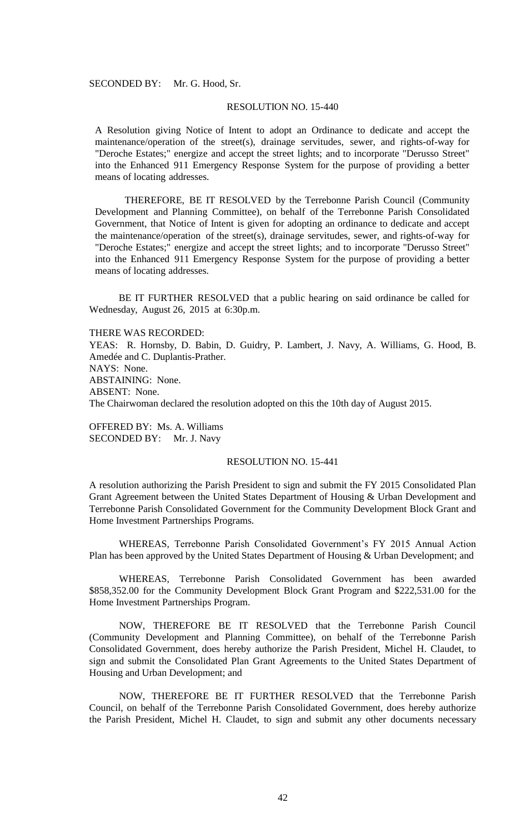### SECONDED BY: Mr. G. Hood, Sr.

## RESOLUTION NO. 15-440

A Resolution giving Notice of Intent to adopt an Ordinance to dedicate and accept the maintenance/operation of the street(s), drainage servitudes, sewer, and rights-of-way for "Deroche Estates;" energize and accept the street lights; and to incorporate "Derusso Street" into the Enhanced 911 Emergency Response System for the purpose of providing a better means of locating addresses.

THEREFORE, BE IT RESOLVED by the Terrebonne Parish Council (Community Development and Planning Committee), on behalf of the Terrebonne Parish Consolidated Government, that Notice of Intent is given for adopting an ordinance to dedicate and accept the maintenance/operation of the street(s), drainage servitudes, sewer, and rights-of-way for "Deroche Estates;" energize and accept the street lights; and to incorporate "Derusso Street" into the Enhanced 911 Emergency Response System for the purpose of providing a better means of locating addresses.

BE IT FURTHER RESOLVED that a public hearing on said ordinance be called for Wednesday, August 26, 2015 at 6:30p.m.

THERE WAS RECORDED:

YEAS: R. Hornsby, D. Babin, D. Guidry, P. Lambert, J. Navy, A. Williams, G. Hood, B. Amedée and C. Duplantis-Prather. NAYS: None. ABSTAINING: None. ABSENT: None. The Chairwoman declared the resolution adopted on this the 10th day of August 2015.

OFFERED BY: Ms. A. Williams SECONDED BY: Mr. J. Navy

### RESOLUTION NO. 15-441

A resolution authorizing the Parish President to sign and submit the FY 2015 Consolidated Plan Grant Agreement between the United States Department of Housing & Urban Development and Terrebonne Parish Consolidated Government for the Community Development Block Grant and Home Investment Partnerships Programs.

WHEREAS, Terrebonne Parish Consolidated Government's FY 2015 Annual Action Plan has been approved by the United States Department of Housing & Urban Development; and

WHEREAS, Terrebonne Parish Consolidated Government has been awarded \$858,352.00 for the Community Development Block Grant Program and \$222,531.00 for the Home Investment Partnerships Program.

NOW, THEREFORE BE IT RESOLVED that the Terrebonne Parish Council (Community Development and Planning Committee), on behalf of the Terrebonne Parish Consolidated Government, does hereby authorize the Parish President, Michel H. Claudet, to sign and submit the Consolidated Plan Grant Agreements to the United States Department of Housing and Urban Development; and

NOW, THEREFORE BE IT FURTHER RESOLVED that the Terrebonne Parish Council, on behalf of the Terrebonne Parish Consolidated Government, does hereby authorize the Parish President, Michel H. Claudet, to sign and submit any other documents necessary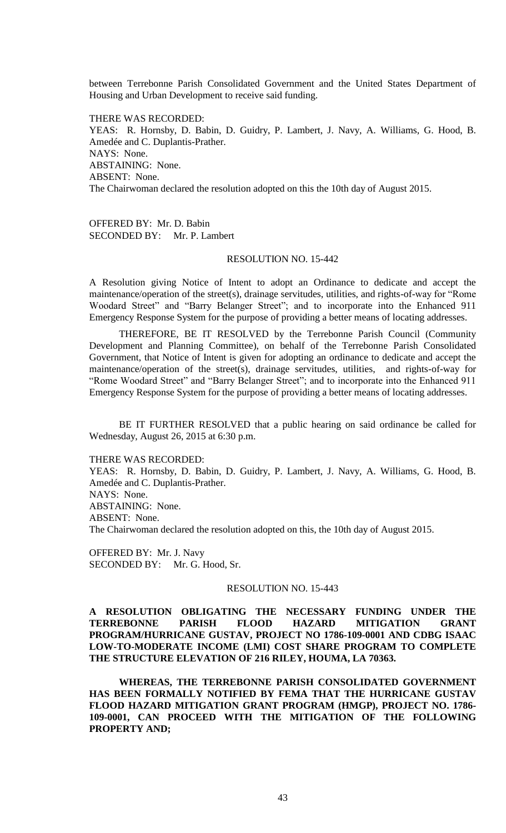between Terrebonne Parish Consolidated Government and the United States Department of Housing and Urban Development to receive said funding.

THERE WAS RECORDED: YEAS: R. Hornsby, D. Babin, D. Guidry, P. Lambert, J. Navy, A. Williams, G. Hood, B. Amedée and C. Duplantis-Prather. NAYS: None. ABSTAINING: None. ABSENT: None. The Chairwoman declared the resolution adopted on this the 10th day of August 2015.

OFFERED BY: Mr. D. Babin SECONDED BY: Mr. P. Lambert

# RESOLUTION NO. 15-442

A Resolution giving Notice of Intent to adopt an Ordinance to dedicate and accept the maintenance/operation of the street(s), drainage servitudes, utilities, and rights-of-way for "Rome Woodard Street" and "Barry Belanger Street"; and to incorporate into the Enhanced 911 Emergency Response System for the purpose of providing a better means of locating addresses.

THEREFORE, BE IT RESOLVED by the Terrebonne Parish Council (Community Development and Planning Committee), on behalf of the Terrebonne Parish Consolidated Government, that Notice of Intent is given for adopting an ordinance to dedicate and accept the maintenance/operation of the street(s), drainage servitudes, utilities, and rights-of-way for "Rome Woodard Street" and "Barry Belanger Street"; and to incorporate into the Enhanced 911 Emergency Response System for the purpose of providing a better means of locating addresses.

BE IT FURTHER RESOLVED that a public hearing on said ordinance be called for Wednesday, August 26, 2015 at 6:30 p.m.

THERE WAS RECORDED:

YEAS: R. Hornsby, D. Babin, D. Guidry, P. Lambert, J. Navy, A. Williams, G. Hood, B. Amedée and C. Duplantis-Prather. NAYS: None. ABSTAINING: None. ABSENT: None. The Chairwoman declared the resolution adopted on this, the 10th day of August 2015.

OFFERED BY: Mr. J. Navy SECONDED BY: Mr. G. Hood, Sr.

#### RESOLUTION NO. 15-443

## **A RESOLUTION OBLIGATING THE NECESSARY FUNDING UNDER THE TERREBONNE PARISH FLOOD HAZARD MITIGATION GRANT PROGRAM/HURRICANE GUSTAV, PROJECT NO 1786-109-0001 AND CDBG ISAAC LOW-TO-MODERATE INCOME (LMI) COST SHARE PROGRAM TO COMPLETE THE STRUCTURE ELEVATION OF 216 RILEY, HOUMA, LA 70363.**

**WHEREAS, THE TERREBONNE PARISH CONSOLIDATED GOVERNMENT HAS BEEN FORMALLY NOTIFIED BY FEMA THAT THE HURRICANE GUSTAV FLOOD HAZARD MITIGATION GRANT PROGRAM (HMGP), PROJECT NO. 1786- 109-0001, CAN PROCEED WITH THE MITIGATION OF THE FOLLOWING PROPERTY AND;**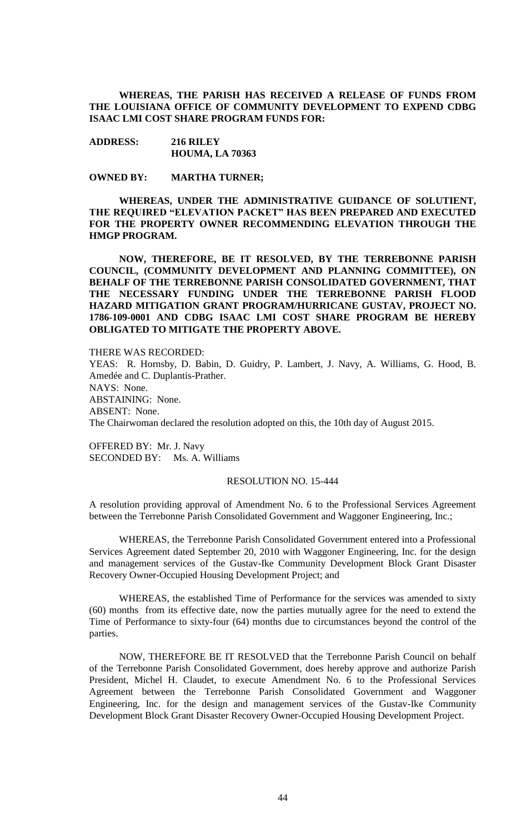**WHEREAS, THE PARISH HAS RECEIVED A RELEASE OF FUNDS FROM THE LOUISIANA OFFICE OF COMMUNITY DEVELOPMENT TO EXPEND CDBG ISAAC LMI COST SHARE PROGRAM FUNDS FOR:**

**ADDRESS: 216 RILEY HOUMA, LA 70363**

**OWNED BY: MARTHA TURNER;**

**WHEREAS, UNDER THE ADMINISTRATIVE GUIDANCE OF SOLUTIENT, THE REQUIRED "ELEVATION PACKET" HAS BEEN PREPARED AND EXECUTED FOR THE PROPERTY OWNER RECOMMENDING ELEVATION THROUGH THE HMGP PROGRAM.**

**NOW, THEREFORE, BE IT RESOLVED, BY THE TERREBONNE PARISH COUNCIL, (COMMUNITY DEVELOPMENT AND PLANNING COMMITTEE), ON BEHALF OF THE TERREBONNE PARISH CONSOLIDATED GOVERNMENT, THAT THE NECESSARY FUNDING UNDER THE TERREBONNE PARISH FLOOD HAZARD MITIGATION GRANT PROGRAM/HURRICANE GUSTAV, PROJECT NO. 1786-109-0001 AND CDBG ISAAC LMI COST SHARE PROGRAM BE HEREBY OBLIGATED TO MITIGATE THE PROPERTY ABOVE.**

THERE WAS RECORDED:

YEAS: R. Hornsby, D. Babin, D. Guidry, P. Lambert, J. Navy, A. Williams, G. Hood, B. Amedée and C. Duplantis-Prather. NAYS: None. ABSTAINING: None. ABSENT: None. The Chairwoman declared the resolution adopted on this, the 10th day of August 2015.

OFFERED BY: Mr. J. Navy SECONDED BY: Ms. A. Williams

#### RESOLUTION NO. 15-444

A resolution providing approval of Amendment No. 6 to the Professional Services Agreement between the Terrebonne Parish Consolidated Government and Waggoner Engineering, Inc.;

WHEREAS, the Terrebonne Parish Consolidated Government entered into a Professional Services Agreement dated September 20, 2010 with Waggoner Engineering, Inc. for the design and management services of the Gustav-Ike Community Development Block Grant Disaster Recovery Owner-Occupied Housing Development Project; and

WHEREAS, the established Time of Performance for the services was amended to sixty (60) months from its effective date, now the parties mutually agree for the need to extend the Time of Performance to sixty-four (64) months due to circumstances beyond the control of the parties.

NOW, THEREFORE BE IT RESOLVED that the Terrebonne Parish Council on behalf of the Terrebonne Parish Consolidated Government, does hereby approve and authorize Parish President, Michel H. Claudet, to execute Amendment No. 6 to the Professional Services Agreement between the Terrebonne Parish Consolidated Government and Waggoner Engineering, Inc. for the design and management services of the Gustav-Ike Community Development Block Grant Disaster Recovery Owner-Occupied Housing Development Project.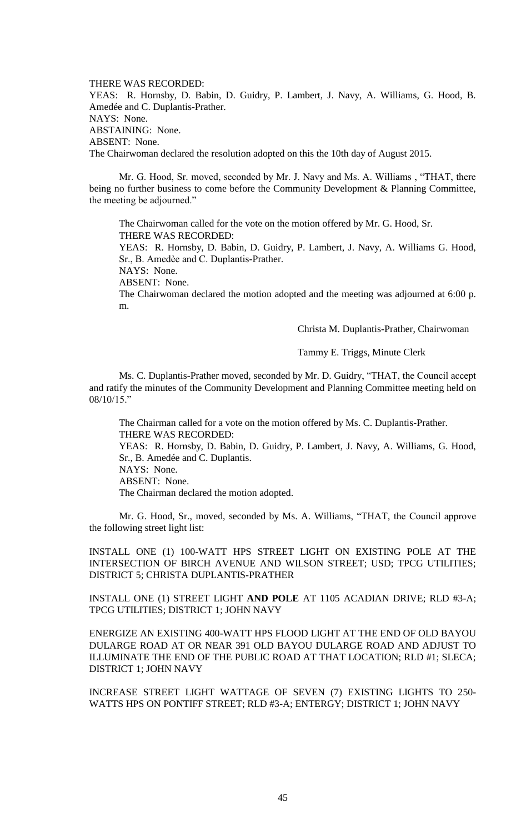THERE WAS RECORDED: YEAS: R. Hornsby, D. Babin, D. Guidry, P. Lambert, J. Navy, A. Williams, G. Hood, B. Amedée and C. Duplantis-Prather. NAYS: None. ABSTAINING: None. ABSENT: None. The Chairwoman declared the resolution adopted on this the 10th day of August 2015.

Mr. G. Hood, Sr. moved, seconded by Mr. J. Navy and Ms. A. Williams , "THAT, there being no further business to come before the Community Development & Planning Committee, the meeting be adjourned."

The Chairwoman called for the vote on the motion offered by Mr. G. Hood, Sr. THERE WAS RECORDED:

YEAS: R. Hornsby, D. Babin, D. Guidry, P. Lambert, J. Navy, A. Williams G. Hood, Sr., B. Amedѐe and C. Duplantis-Prather.

NAYS: None.

ABSENT: None.

The Chairwoman declared the motion adopted and the meeting was adjourned at 6:00 p. m.

Christa M. Duplantis-Prather, Chairwoman

Tammy E. Triggs, Minute Clerk

Ms. C. Duplantis-Prather moved, seconded by Mr. D. Guidry, "THAT, the Council accept and ratify the minutes of the Community Development and Planning Committee meeting held on 08/10/15."

The Chairman called for a vote on the motion offered by Ms. C. Duplantis-Prather. THERE WAS RECORDED:

YEAS: R. Hornsby, D. Babin, D. Guidry, P. Lambert, J. Navy, A. Williams, G. Hood, Sr., B. Amedée and C. Duplantis.

NAYS: None.

ABSENT: None.

The Chairman declared the motion adopted.

Mr. G. Hood, Sr., moved, seconded by Ms. A. Williams, "THAT, the Council approve the following street light list:

INSTALL ONE (1) 100-WATT HPS STREET LIGHT ON EXISTING POLE AT THE INTERSECTION OF BIRCH AVENUE AND WILSON STREET; USD; TPCG UTILITIES; DISTRICT 5; CHRISTA DUPLANTIS-PRATHER

INSTALL ONE (1) STREET LIGHT **AND POLE** AT 1105 ACADIAN DRIVE; RLD #3-A; TPCG UTILITIES; DISTRICT 1; JOHN NAVY

ENERGIZE AN EXISTING 400-WATT HPS FLOOD LIGHT AT THE END OF OLD BAYOU DULARGE ROAD AT OR NEAR 391 OLD BAYOU DULARGE ROAD AND ADJUST TO ILLUMINATE THE END OF THE PUBLIC ROAD AT THAT LOCATION; RLD #1; SLECA; DISTRICT 1; JOHN NAVY

INCREASE STREET LIGHT WATTAGE OF SEVEN (7) EXISTING LIGHTS TO 250- WATTS HPS ON PONTIFF STREET; RLD #3-A; ENTERGY; DISTRICT 1; JOHN NAVY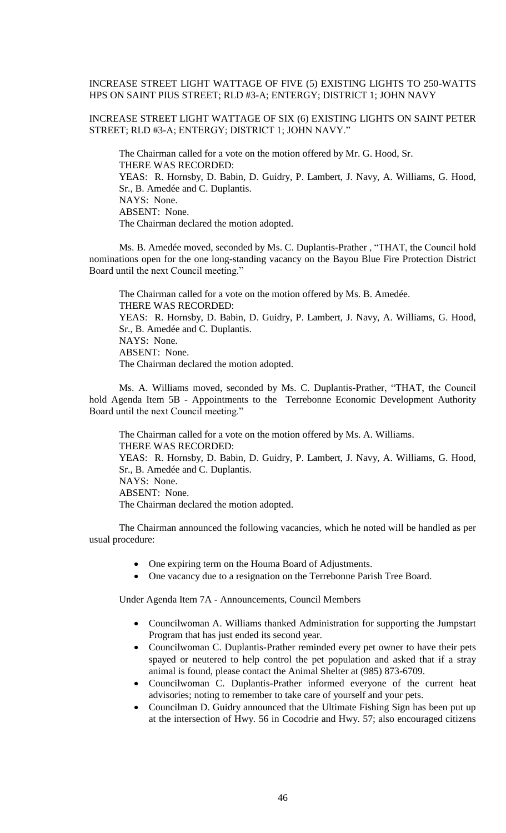## INCREASE STREET LIGHT WATTAGE OF FIVE (5) EXISTING LIGHTS TO 250-WATTS HPS ON SAINT PIUS STREET; RLD #3-A; ENTERGY; DISTRICT 1; JOHN NAVY

INCREASE STREET LIGHT WATTAGE OF SIX (6) EXISTING LIGHTS ON SAINT PETER STREET; RLD #3-A; ENTERGY; DISTRICT 1; JOHN NAVY."

The Chairman called for a vote on the motion offered by Mr. G. Hood, Sr. THERE WAS RECORDED: YEAS: R. Hornsby, D. Babin, D. Guidry, P. Lambert, J. Navy, A. Williams, G. Hood, Sr., B. Amedée and C. Duplantis. NAYS: None. ABSENT: None. The Chairman declared the motion adopted.

Ms. B. Amedée moved, seconded by Ms. C. Duplantis-Prather , "THAT, the Council hold nominations open for the one long-standing vacancy on the Bayou Blue Fire Protection District Board until the next Council meeting."

The Chairman called for a vote on the motion offered by Ms. B. Amedée. THERE WAS RECORDED: YEAS: R. Hornsby, D. Babin, D. Guidry, P. Lambert, J. Navy, A. Williams, G. Hood, Sr., B. Amedée and C. Duplantis. NAYS: None. ABSENT: None. The Chairman declared the motion adopted.

Ms. A. Williams moved, seconded by Ms. C. Duplantis-Prather, "THAT, the Council hold Agenda Item 5B - Appointments to the Terrebonne Economic Development Authority Board until the next Council meeting."

The Chairman called for a vote on the motion offered by Ms. A. Williams. THERE WAS RECORDED: YEAS: R. Hornsby, D. Babin, D. Guidry, P. Lambert, J. Navy, A. Williams, G. Hood, Sr., B. Amedée and C. Duplantis. NAYS: None. ABSENT: None. The Chairman declared the motion adopted.

The Chairman announced the following vacancies, which he noted will be handled as per usual procedure:

- One expiring term on the Houma Board of Adjustments.
- One vacancy due to a resignation on the Terrebonne Parish Tree Board.

Under Agenda Item 7A - Announcements, Council Members

- Councilwoman A. Williams thanked Administration for supporting the Jumpstart Program that has just ended its second year.
- Councilwoman C. Duplantis-Prather reminded every pet owner to have their pets spayed or neutered to help control the pet population and asked that if a stray animal is found, please contact the Animal Shelter at (985) 873-6709.
- Councilwoman C. Duplantis-Prather informed everyone of the current heat advisories; noting to remember to take care of yourself and your pets.
- Councilman D. Guidry announced that the Ultimate Fishing Sign has been put up at the intersection of Hwy. 56 in Cocodrie and Hwy. 57; also encouraged citizens